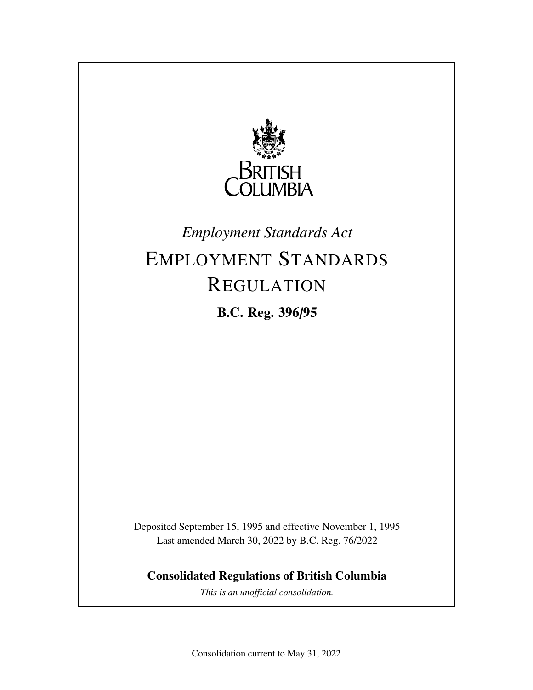

## *Employment Standards Act*

# EMPLOYMENT STANDARDS REGULATION

**B.C. Reg. 396/95**

Deposited September 15, 1995 and effective November 1, 1995 Last amended March 30, 2022 by B.C. Reg. 76/2022

**Consolidated Regulations of British Columbia**

*This is an unofficial consolidation.*

Consolidation current to May 31, 2022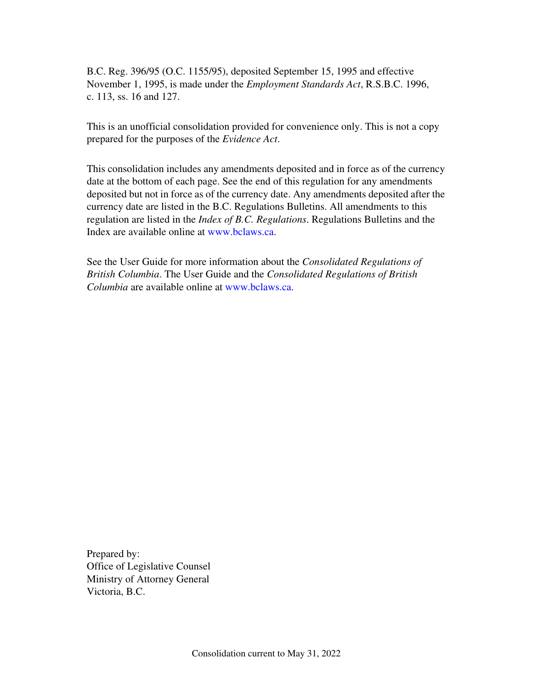B.C. Reg. 396/95 (O.C. 1155/95), deposited September 15, 1995 and effective November 1, 1995, is made under the *Employment Standards Act*, R.S.B.C. 1996, c. 113, ss. 16 and 127.

This is an unofficial consolidation provided for convenience only. This is not a copy prepared for the purposes of the *Evidence Act*.

This consolidation includes any amendments deposited and in force as of the currency date at the bottom of each page. See the end of this regulation for any amendments deposited but not in force as of the currency date. Any amendments deposited after the currency date are listed in the B.C. Regulations Bulletins. All amendments to this regulation are listed in the *Index of B.C. Regulations*. Regulations Bulletins and the Index are available online at www.bclaws.ca.

See the User Guide for more information about the *Consolidated Regulations of British Columbia*. The User Guide and the *Consolidated Regulations of British Columbia* are available online at www.bclaws.ca.

Prepared by: Office of Legislative Counsel Ministry of Attorney General Victoria, B.C.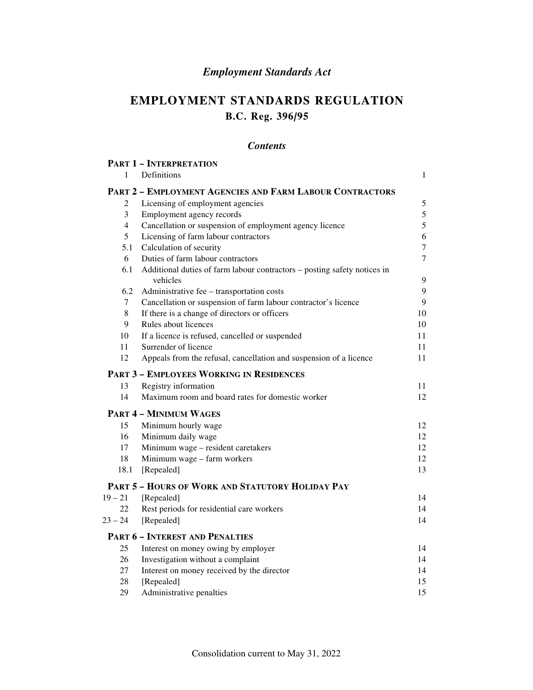## *Employment Standards Act*

## **EMPLOYMENT STANDARDS REGULATION B.C. Reg. 396/95**

## *Contents*

|                  | <b>PART 1 - INTERPRETATION</b>                                                       |                |
|------------------|--------------------------------------------------------------------------------------|----------------|
| 1                | Definitions                                                                          | 1              |
|                  | PART 2 - EMPLOYMENT AGENCIES AND FARM LABOUR CONTRACTORS                             |                |
| 2                | Licensing of employment agencies                                                     | 5              |
| 3                | Employment agency records                                                            | 5              |
| $\overline{4}$   | Cancellation or suspension of employment agency licence                              | 5              |
| 5                | Licensing of farm labour contractors                                                 | 6              |
| 5.1              | Calculation of security                                                              | $\overline{7}$ |
| 6                | Duties of farm labour contractors                                                    | $\overline{7}$ |
| 6.1              | Additional duties of farm labour contractors - posting safety notices in<br>vehicles | 9              |
| 6.2              | Administrative fee - transportation costs                                            | 9              |
| $\boldsymbol{7}$ | Cancellation or suspension of farm labour contractor's licence                       | 9              |
| $\,8\,$          | If there is a change of directors or officers                                        | 10             |
| 9                | Rules about licences                                                                 | 10             |
| 10               | If a licence is refused, cancelled or suspended                                      | 11             |
| 11               | Surrender of licence                                                                 | 11             |
| 12               | Appeals from the refusal, cancellation and suspension of a licence                   | 11             |
|                  | <b>PART 3 - EMPLOYEES WORKING IN RESIDENCES</b>                                      |                |
| 13               | Registry information                                                                 | 11             |
| 14               | Maximum room and board rates for domestic worker                                     | 12             |
|                  | <b>PART 4 - MINIMUM WAGES</b>                                                        |                |
| 15               | Minimum hourly wage                                                                  | 12             |
| 16               | Minimum daily wage                                                                   | 12             |
| 17               | Minimum wage - resident caretakers                                                   | 12             |
| 18               | Minimum wage - farm workers                                                          | 12             |
| 18.1             | [Repealed]                                                                           | 13             |
|                  | PART 5 - HOURS OF WORK AND STATUTORY HOLIDAY PAY                                     |                |
| $19 - 21$        | [Repealed]                                                                           | 14             |
| 22               | Rest periods for residential care workers                                            | 14             |
| $23 - 24$        | [Repealed]                                                                           | 14             |
|                  | <b>PART 6 - INTEREST AND PENALTIES</b>                                               |                |
| 25               | Interest on money owing by employer                                                  | 14             |
| 26               | Investigation without a complaint                                                    | 14             |
| 27               | Interest on money received by the director                                           | 14             |
| 28               | [Repealed]                                                                           | 15             |
| 29               | Administrative penalties                                                             | 15             |
|                  |                                                                                      |                |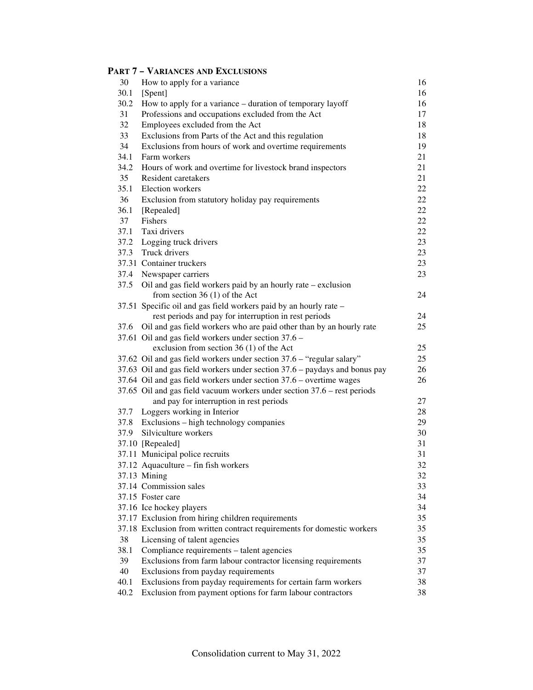## **PART 7 – VARIANCES AND EXCLUSIONS**

| 30   | How to apply for a variance                                                | 16 |
|------|----------------------------------------------------------------------------|----|
| 30.1 | [Spent]                                                                    | 16 |
| 30.2 | How to apply for a variance – duration of temporary layoff                 | 16 |
| 31   | Professions and occupations excluded from the Act                          | 17 |
| 32   | Employees excluded from the Act                                            | 18 |
| 33   | Exclusions from Parts of the Act and this regulation                       | 18 |
| 34   | Exclusions from hours of work and overtime requirements                    | 19 |
| 34.1 | Farm workers                                                               | 21 |
| 34.2 | Hours of work and overtime for livestock brand inspectors                  | 21 |
| 35   | Resident caretakers                                                        | 21 |
| 35.1 | Election workers                                                           | 22 |
| 36   | Exclusion from statutory holiday pay requirements                          | 22 |
| 36.1 | [Repealed]                                                                 | 22 |
| 37   | Fishers                                                                    | 22 |
| 37.1 | Taxi drivers                                                               | 22 |
| 37.2 | Logging truck drivers                                                      | 23 |
| 37.3 | Truck drivers                                                              | 23 |
|      | 37.31 Container truckers                                                   | 23 |
|      | 37.4 Newspaper carriers                                                    | 23 |
| 37.5 | Oil and gas field workers paid by an hourly rate – exclusion               |    |
|      | from section 36 $(1)$ of the Act                                           | 24 |
|      | 37.51 Specific oil and gas field workers paid by an hourly rate -          |    |
|      | rest periods and pay for interruption in rest periods                      | 24 |
|      | 37.6 Oil and gas field workers who are paid other than by an hourly rate   | 25 |
|      | 37.61 Oil and gas field workers under section 37.6 -                       |    |
|      | exclusion from section 36 (1) of the Act                                   | 25 |
|      | 37.62 Oil and gas field workers under section 37.6 - "regular salary"      | 25 |
|      | 37.63 Oil and gas field workers under section 37.6 – paydays and bonus pay | 26 |
|      | 37.64 Oil and gas field workers under section 37.6 - overtime wages        | 26 |
|      | 37.65 Oil and gas field vacuum workers under section 37.6 – rest periods   |    |
|      | and pay for interruption in rest periods                                   | 27 |
| 37.7 | Loggers working in Interior                                                | 28 |
| 37.8 | Exclusions – high technology companies                                     | 29 |
| 37.9 | Silviculture workers                                                       | 30 |
|      | 37.10 [Repealed]                                                           | 31 |
|      | 37.11 Municipal police recruits                                            | 31 |
|      | 37.12 Aquaculture - fin fish workers                                       | 32 |
|      | 37.13 Mining                                                               | 32 |
|      | 37.14 Commission sales                                                     | 33 |
|      | 37.15 Foster care                                                          | 34 |
|      | 37.16 Ice hockey players                                                   | 34 |
|      | 37.17 Exclusion from hiring children requirements                          | 35 |
|      | 37.18 Exclusion from written contract requirements for domestic workers    | 35 |
| 38   | Licensing of talent agencies                                               | 35 |
| 38.1 | Compliance requirements – talent agencies                                  | 35 |
| 39   | Exclusions from farm labour contractor licensing requirements              | 37 |
| 40   | Exclusions from payday requirements                                        | 37 |
| 40.1 | Exclusions from payday requirements for certain farm workers               | 38 |
| 40.2 | Exclusion from payment options for farm labour contractors                 | 38 |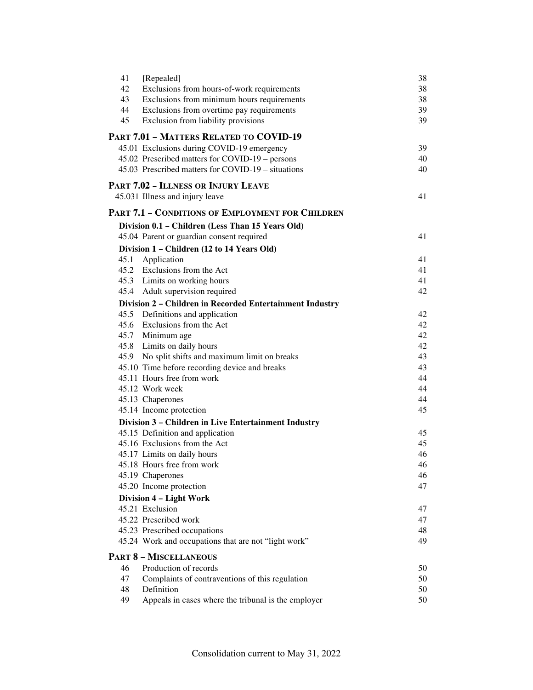| 41   | [Repealed]                                               | 38 |
|------|----------------------------------------------------------|----|
| 42   | Exclusions from hours-of-work requirements               | 38 |
| 43   | Exclusions from minimum hours requirements               | 38 |
| 44   | Exclusions from overtime pay requirements                | 39 |
| 45   | Exclusion from liability provisions                      | 39 |
|      | PART 7.01 - MATTERS RELATED TO COVID-19                  |    |
|      | 45.01 Exclusions during COVID-19 emergency               | 39 |
|      | 45.02 Prescribed matters for COVID-19 – persons          | 40 |
|      | 45.03 Prescribed matters for COVID-19 – situations       | 40 |
|      | <b>PART 7.02 - ILLNESS OR INJURY LEAVE</b>               |    |
|      | 45.031 Illness and injury leave                          | 41 |
|      | <b>PART 7.1 - CONDITIONS OF EMPLOYMENT FOR CHILDREN</b>  |    |
|      | Division 0.1 - Children (Less Than 15 Years Old)         |    |
|      | 45.04 Parent or guardian consent required                | 41 |
|      | Division 1 - Children (12 to 14 Years Old)               |    |
| 45.1 | Application                                              | 41 |
|      | 45.2 Exclusions from the Act                             | 41 |
|      | 45.3 Limits on working hours                             | 41 |
|      | 45.4 Adult supervision required                          | 42 |
|      | Division 2 - Children in Recorded Entertainment Industry |    |
|      | 45.5 Definitions and application                         | 42 |
|      | 45.6 Exclusions from the Act                             | 42 |
|      | 45.7 Minimum age                                         | 42 |
|      | 45.8 Limits on daily hours                               | 42 |
|      | 45.9 No split shifts and maximum limit on breaks         | 43 |
|      | 45.10 Time before recording device and breaks            | 43 |
|      | 45.11 Hours free from work                               | 44 |
|      | 45.12 Work week                                          | 44 |
|      | 45.13 Chaperones                                         | 44 |
|      | 45.14 Income protection                                  | 45 |
|      | Division 3 - Children in Live Entertainment Industry     |    |
|      | 45.15 Definition and application                         | 45 |
|      | 45.16 Exclusions from the Act                            | 45 |
|      | 45.17 Limits on daily hours                              | 46 |
|      | 45.18 Hours free from work                               | 46 |
|      | 45.19 Chaperones                                         | 46 |
|      | 45.20 Income protection                                  | 47 |
|      | Division 4 - Light Work                                  |    |
|      | 45.21 Exclusion                                          | 47 |
|      | 45.22 Prescribed work                                    | 47 |
|      | 45.23 Prescribed occupations                             | 48 |
|      | 45.24 Work and occupations that are not "light work"     | 49 |
|      | <b>PART 8 - MISCELLANEOUS</b>                            |    |
| 46   | Production of records                                    | 50 |
| 47   | Complaints of contraventions of this regulation          | 50 |
| 48   | Definition                                               | 50 |
| 49   | Appeals in cases where the tribunal is the employer      | 50 |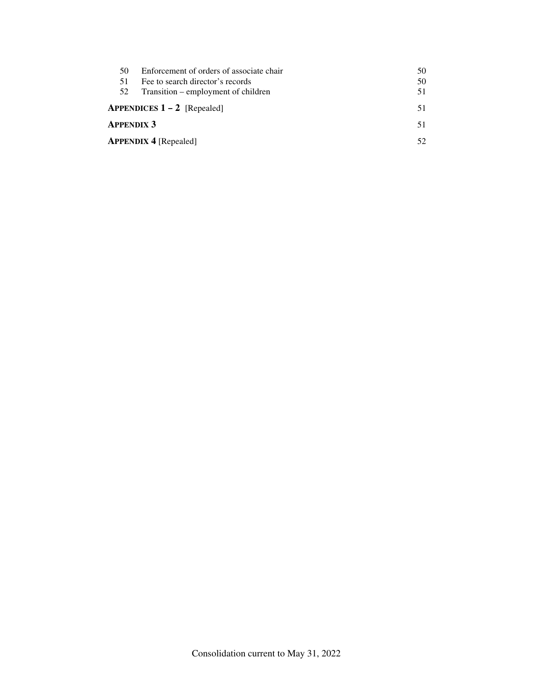| 50                | Enforcement of orders of associate chair        | 50 |
|-------------------|-------------------------------------------------|----|
| 51.               | Fee to search director's records                | 50 |
| 52                | Transition – employment of children             | 51 |
|                   | <b>APPENDICES <math>1 - 2</math></b> [Repealed] |    |
| <b>APPENDIX 3</b> |                                                 | 51 |
|                   | <b>APPENDIX 4 [Repealed]</b>                    |    |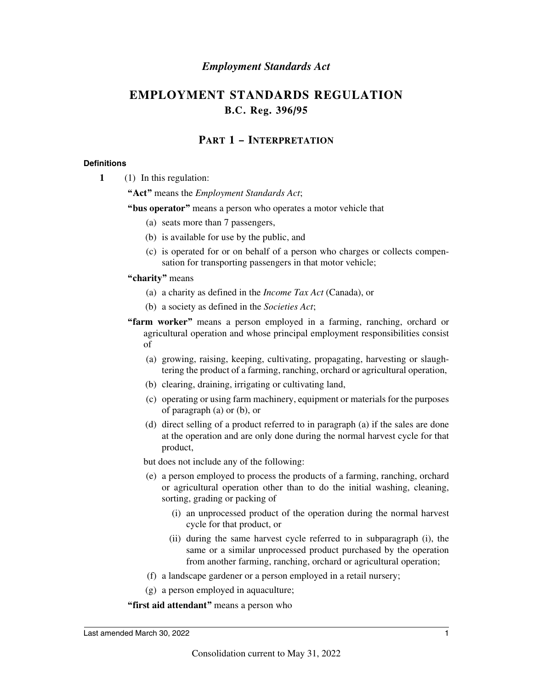## *Employment Standards Act*

## **EMPLOYMENT STANDARDS REGULATION B.C. Reg. 396/95**

## **PART 1 – INTERPRETATION**

#### **Definitions**

**1** (1) In this regulation:

**"Act"** means the *Employment Standards Act*;

**"bus operator"** means a person who operates a motor vehicle that

- (a) seats more than 7 passengers,
- (b) is available for use by the public, and
- (c) is operated for or on behalf of a person who charges or collects compensation for transporting passengers in that motor vehicle;

#### **"charity"** means

- (a) a charity as defined in the *Income Tax Act* (Canada), or
- (b) a society as defined in the *Societies Act*;
- **"farm worker"** means a person employed in a farming, ranching, orchard or agricultural operation and whose principal employment responsibilities consist of
	- (a) growing, raising, keeping, cultivating, propagating, harvesting or slaughtering the product of a farming, ranching, orchard or agricultural operation,
	- (b) clearing, draining, irrigating or cultivating land,
	- (c) operating or using farm machinery, equipment or materials for the purposes of paragraph (a) or (b), or
	- (d) direct selling of a product referred to in paragraph (a) if the sales are done at the operation and are only done during the normal harvest cycle for that product,

but does not include any of the following:

- (e) a person employed to process the products of a farming, ranching, orchard or agricultural operation other than to do the initial washing, cleaning, sorting, grading or packing of
	- (i) an unprocessed product of the operation during the normal harvest cycle for that product, or
	- (ii) during the same harvest cycle referred to in subparagraph (i), the same or a similar unprocessed product purchased by the operation from another farming, ranching, orchard or agricultural operation;
- (f) a landscape gardener or a person employed in a retail nursery;
- (g) a person employed in aquaculture;

**"first aid attendant"** means a person who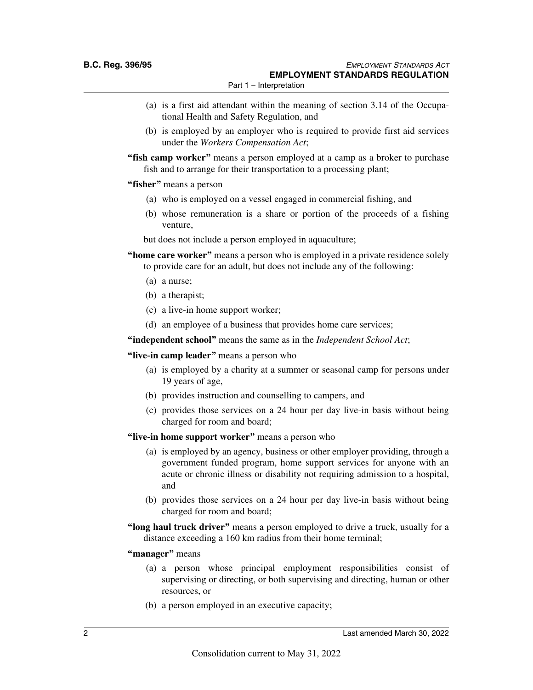- (a) is a first aid attendant within the meaning of section 3.14 of the Occupational Health and Safety Regulation, and
- (b) is employed by an employer who is required to provide first aid services under the *Workers Compensation Act*;

**"fish camp worker"** means a person employed at a camp as a broker to purchase fish and to arrange for their transportation to a processing plant;

- **"fisher"** means a person
	- (a) who is employed on a vessel engaged in commercial fishing, and
	- (b) whose remuneration is a share or portion of the proceeds of a fishing venture,

but does not include a person employed in aquaculture;

- **"home care worker"** means a person who is employed in a private residence solely to provide care for an adult, but does not include any of the following:
	- (a) a nurse;
	- (b) a therapist;
	- (c) a live-in home support worker;
	- (d) an employee of a business that provides home care services;

**"independent school"** means the same as in the *Independent School Act*;

**"live-in camp leader"** means a person who

- (a) is employed by a charity at a summer or seasonal camp for persons under 19 years of age,
- (b) provides instruction and counselling to campers, and
- (c) provides those services on a 24 hour per day live-in basis without being charged for room and board;
- **"live-in home support worker"** means a person who
	- (a) is employed by an agency, business or other employer providing, through a government funded program, home support services for anyone with an acute or chronic illness or disability not requiring admission to a hospital, and
	- (b) provides those services on a 24 hour per day live-in basis without being charged for room and board;
- **"long haul truck driver"** means a person employed to drive a truck, usually for a distance exceeding a 160 km radius from their home terminal;
- **"manager"** means
	- (a) a person whose principal employment responsibilities consist of supervising or directing, or both supervising and directing, human or other resources, or
	- (b) a person employed in an executive capacity;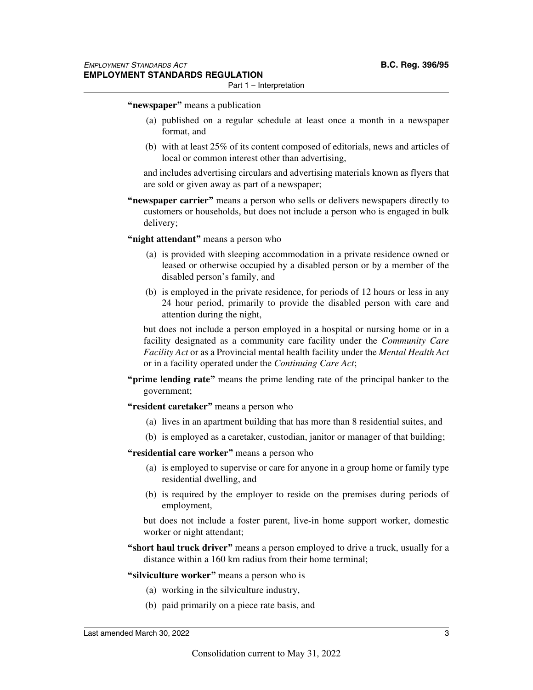#### Part 1 – Interpretation

#### **"newspaper"** means a publication

- (a) published on a regular schedule at least once a month in a newspaper format, and
- (b) with at least 25% of its content composed of editorials, news and articles of local or common interest other than advertising,

and includes advertising circulars and advertising materials known as flyers that are sold or given away as part of a newspaper;

**"newspaper carrier"** means a person who sells or delivers newspapers directly to customers or households, but does not include a person who is engaged in bulk delivery;

**"night attendant"** means a person who

- (a) is provided with sleeping accommodation in a private residence owned or leased or otherwise occupied by a disabled person or by a member of the disabled person's family, and
- (b) is employed in the private residence, for periods of 12 hours or less in any 24 hour period, primarily to provide the disabled person with care and attention during the night,

but does not include a person employed in a hospital or nursing home or in a facility designated as a community care facility under the *Community Care Facility Act* or as a Provincial mental health facility under the *Mental Health Act* or in a facility operated under the *Continuing Care Act*;

- **"prime lending rate"** means the prime lending rate of the principal banker to the government;
- **"resident caretaker"** means a person who
	- (a) lives in an apartment building that has more than 8 residential suites, and
	- (b) is employed as a caretaker, custodian, janitor or manager of that building;
- **"residential care worker"** means a person who
	- (a) is employed to supervise or care for anyone in a group home or family type residential dwelling, and
	- (b) is required by the employer to reside on the premises during periods of employment,

but does not include a foster parent, live-in home support worker, domestic worker or night attendant;

**"short haul truck driver"** means a person employed to drive a truck, usually for a distance within a 160 km radius from their home terminal;

#### **"silviculture worker"** means a person who is

- (a) working in the silviculture industry,
- (b) paid primarily on a piece rate basis, and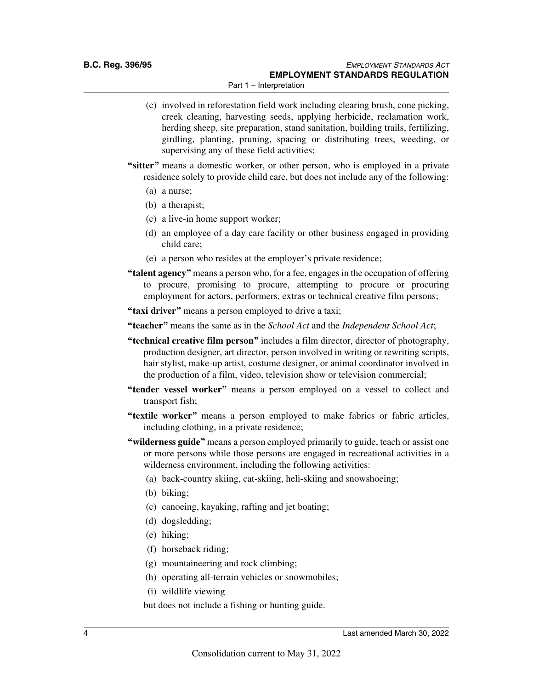- (c) involved in reforestation field work including clearing brush, cone picking, creek cleaning, harvesting seeds, applying herbicide, reclamation work, herding sheep, site preparation, stand sanitation, building trails, fertilizing, girdling, planting, pruning, spacing or distributing trees, weeding, or supervising any of these field activities;
- **"sitter"** means a domestic worker, or other person, who is employed in a private residence solely to provide child care, but does not include any of the following:
	- (a) a nurse;
	- (b) a therapist;
	- (c) a live-in home support worker;
	- (d) an employee of a day care facility or other business engaged in providing child care;
	- (e) a person who resides at the employer's private residence;
- **"talent agency"** means a person who, for a fee, engages in the occupation of offering to procure, promising to procure, attempting to procure or procuring employment for actors, performers, extras or technical creative film persons;
- **"taxi driver"** means a person employed to drive a taxi;

**"teacher"** means the same as in the *School Act* and the *Independent School Act*;

- **"technical creative film person"** includes a film director, director of photography, production designer, art director, person involved in writing or rewriting scripts, hair stylist, make-up artist, costume designer, or animal coordinator involved in the production of a film, video, television show or television commercial;
- **"tender vessel worker"** means a person employed on a vessel to collect and transport fish;
- **"textile worker"** means a person employed to make fabrics or fabric articles, including clothing, in a private residence;
- **"wilderness guide"** means a person employed primarily to guide, teach or assist one or more persons while those persons are engaged in recreational activities in a wilderness environment, including the following activities:
	- (a) back-country skiing, cat-skiing, heli-skiing and snowshoeing;
	- (b) biking;
	- (c) canoeing, kayaking, rafting and jet boating;
	- (d) dogsledding;
	- (e) hiking;
	- (f) horseback riding;
	- (g) mountaineering and rock climbing;
	- (h) operating all-terrain vehicles or snowmobiles;
	- (i) wildlife viewing

but does not include a fishing or hunting guide.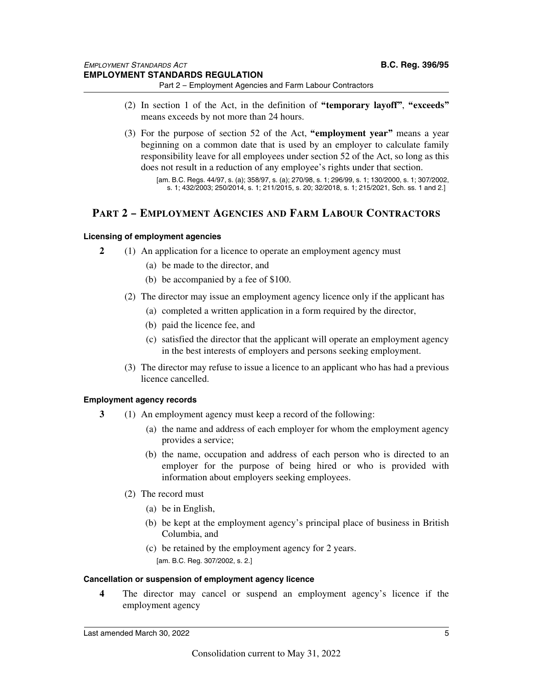- 
- (2) In section 1 of the Act, in the definition of **"temporary layoff"**, **"exceeds"** means exceeds by not more than 24 hours.
- (3) For the purpose of section 52 of the Act, **"employment year"** means a year beginning on a common date that is used by an employer to calculate family responsibility leave for all employees under section 52 of the Act, so long as this does not result in a reduction of any employee's rights under that section.

[am. B.C. Regs. 44/97, s. (a); 358/97, s. (a); 270/98, s. 1; 296/99, s. 1; 130/2000, s. 1; 307/2002, s. 1; 432/2003; 250/2014, s. 1; 211/2015, s. 20; 32/2018, s. 1; 215/2021, Sch. ss. 1 and 2.]

## **PART 2 – EMPLOYMENT AGENCIES AND FARM LABOUR CONTRACTORS**

#### **Licensing of employment agencies**

- **2** (1) An application for a licence to operate an employment agency must
	- (a) be made to the director, and
	- (b) be accompanied by a fee of \$100.
	- (2) The director may issue an employment agency licence only if the applicant has
		- (a) completed a written application in a form required by the director,
		- (b) paid the licence fee, and
		- (c) satisfied the director that the applicant will operate an employment agency in the best interests of employers and persons seeking employment.
	- (3) The director may refuse to issue a licence to an applicant who has had a previous licence cancelled.

#### **Employment agency records**

- **3** (1) An employment agency must keep a record of the following:
	- (a) the name and address of each employer for whom the employment agency provides a service;
	- (b) the name, occupation and address of each person who is directed to an employer for the purpose of being hired or who is provided with information about employers seeking employees.
	- (2) The record must
		- (a) be in English,
		- (b) be kept at the employment agency's principal place of business in British Columbia, and
		- (c) be retained by the employment agency for 2 years. [am. B.C. Reg. 307/2002, s. 2.]

#### **Cancellation or suspension of employment agency licence**

**4** The director may cancel or suspend an employment agency's licence if the employment agency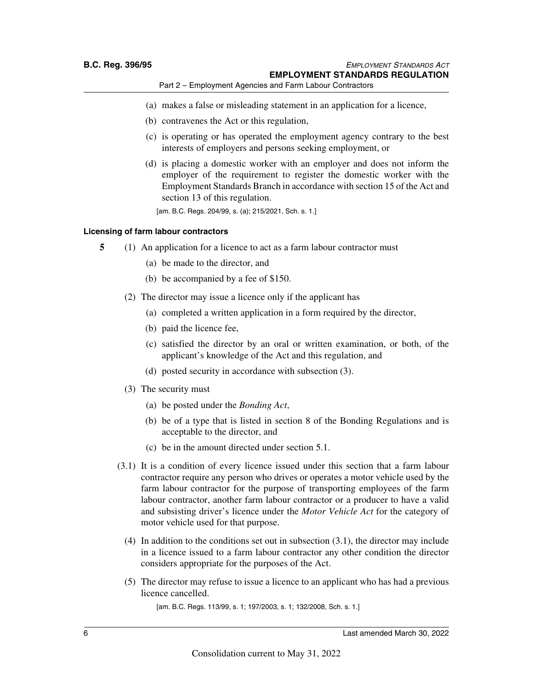- (a) makes a false or misleading statement in an application for a licence,
- (b) contravenes the Act or this regulation,
- (c) is operating or has operated the employment agency contrary to the best interests of employers and persons seeking employment, or
- (d) is placing a domestic worker with an employer and does not inform the employer of the requirement to register the domestic worker with the Employment Standards Branch in accordance with section 15 of the Act and section 13 of this regulation.

[am. B.C. Regs. 204/99, s. (a); 215/2021, Sch. s. 1.]

#### **Licensing of farm labour contractors**

- **5** (1) An application for a licence to act as a farm labour contractor must
	- (a) be made to the director, and
	- (b) be accompanied by a fee of \$150.
	- (2) The director may issue a licence only if the applicant has
		- (a) completed a written application in a form required by the director,
		- (b) paid the licence fee,
		- (c) satisfied the director by an oral or written examination, or both, of the applicant's knowledge of the Act and this regulation, and
		- (d) posted security in accordance with subsection (3).
	- (3) The security must
		- (a) be posted under the *Bonding Act*,
		- (b) be of a type that is listed in section 8 of the Bonding Regulations and is acceptable to the director, and
		- (c) be in the amount directed under section 5.1.
	- (3.1) It is a condition of every licence issued under this section that a farm labour contractor require any person who drives or operates a motor vehicle used by the farm labour contractor for the purpose of transporting employees of the farm labour contractor, another farm labour contractor or a producer to have a valid and subsisting driver's licence under the *Motor Vehicle Act* for the category of motor vehicle used for that purpose.
		- (4) In addition to the conditions set out in subsection (3.1), the director may include in a licence issued to a farm labour contractor any other condition the director considers appropriate for the purposes of the Act.
		- (5) The director may refuse to issue a licence to an applicant who has had a previous licence cancelled.

[am. B.C. Regs. 113/99, s. 1; 197/2003, s. 1; 132/2008, Sch. s. 1.]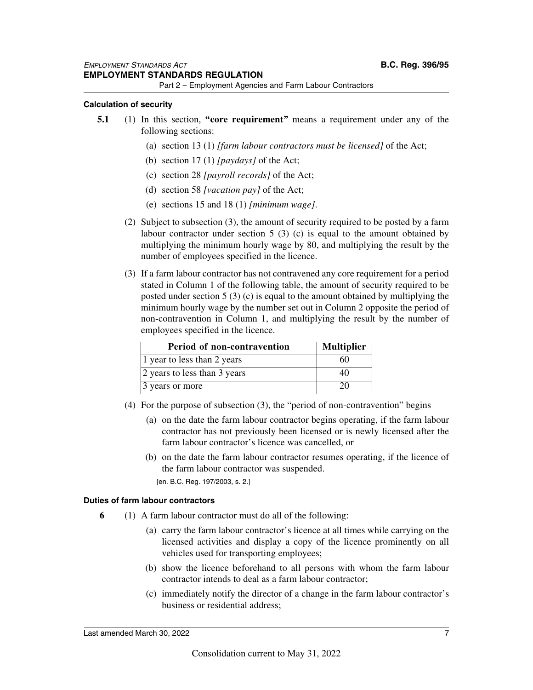#### **Calculation of security**

- **5.1** (1) In this section, **"core requirement"** means a requirement under any of the following sections:
	- (a) section 13 (1) *[farm labour contractors must be licensed]* of the Act;
	- (b) section 17 (1) *[paydays]* of the Act;
	- (c) section 28 *[payroll records]* of the Act;
	- (d) section 58 *[vacation pay]* of the Act;
	- (e) sections 15 and 18 (1) *[minimum wage]*.
	- (2) Subject to subsection (3), the amount of security required to be posted by a farm labour contractor under section 5 (3) (c) is equal to the amount obtained by multiplying the minimum hourly wage by 80, and multiplying the result by the number of employees specified in the licence.
	- (3) If a farm labour contractor has not contravened any core requirement for a period stated in Column 1 of the following table, the amount of security required to be posted under section 5 (3) (c) is equal to the amount obtained by multiplying the minimum hourly wage by the number set out in Column 2 opposite the period of non-contravention in Column 1, and multiplying the result by the number of employees specified in the licence.

| Period of non-contravention  | <b>Multiplier</b> |
|------------------------------|-------------------|
| 1 year to less than 2 years  | 60                |
| 2 years to less than 3 years | 40                |
| 3 years or more              |                   |

- (4) For the purpose of subsection (3), the "period of non-contravention" begins
	- (a) on the date the farm labour contractor begins operating, if the farm labour contractor has not previously been licensed or is newly licensed after the farm labour contractor's licence was cancelled, or
	- (b) on the date the farm labour contractor resumes operating, if the licence of the farm labour contractor was suspended.

[en. B.C. Reg. 197/2003, s. 2.]

#### **Duties of farm labour contractors**

- **6** (1) A farm labour contractor must do all of the following:
	- (a) carry the farm labour contractor's licence at all times while carrying on the licensed activities and display a copy of the licence prominently on all vehicles used for transporting employees;
	- (b) show the licence beforehand to all persons with whom the farm labour contractor intends to deal as a farm labour contractor;
	- (c) immediately notify the director of a change in the farm labour contractor's business or residential address;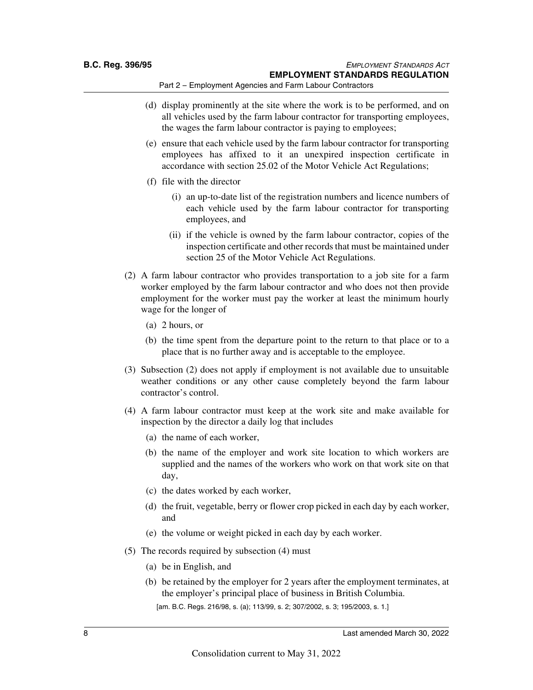- (d) display prominently at the site where the work is to be performed, and on all vehicles used by the farm labour contractor for transporting employees, the wages the farm labour contractor is paying to employees;
- (e) ensure that each vehicle used by the farm labour contractor for transporting employees has affixed to it an unexpired inspection certificate in accordance with section 25.02 of the Motor Vehicle Act Regulations;
- (f) file with the director
	- (i) an up-to-date list of the registration numbers and licence numbers of each vehicle used by the farm labour contractor for transporting employees, and
	- (ii) if the vehicle is owned by the farm labour contractor, copies of the inspection certificate and other records that must be maintained under section 25 of the Motor Vehicle Act Regulations.
- (2) A farm labour contractor who provides transportation to a job site for a farm worker employed by the farm labour contractor and who does not then provide employment for the worker must pay the worker at least the minimum hourly wage for the longer of
	- (a) 2 hours, or
	- (b) the time spent from the departure point to the return to that place or to a place that is no further away and is acceptable to the employee.
- (3) Subsection (2) does not apply if employment is not available due to unsuitable weather conditions or any other cause completely beyond the farm labour contractor's control.
- (4) A farm labour contractor must keep at the work site and make available for inspection by the director a daily log that includes
	- (a) the name of each worker,
	- (b) the name of the employer and work site location to which workers are supplied and the names of the workers who work on that work site on that day,
	- (c) the dates worked by each worker,
	- (d) the fruit, vegetable, berry or flower crop picked in each day by each worker, and
	- (e) the volume or weight picked in each day by each worker.
- (5) The records required by subsection (4) must
	- (a) be in English, and
	- (b) be retained by the employer for 2 years after the employment terminates, at the employer's principal place of business in British Columbia. [am. B.C. Regs. 216/98, s. (a); 113/99, s. 2; 307/2002, s. 3; 195/2003, s. 1.]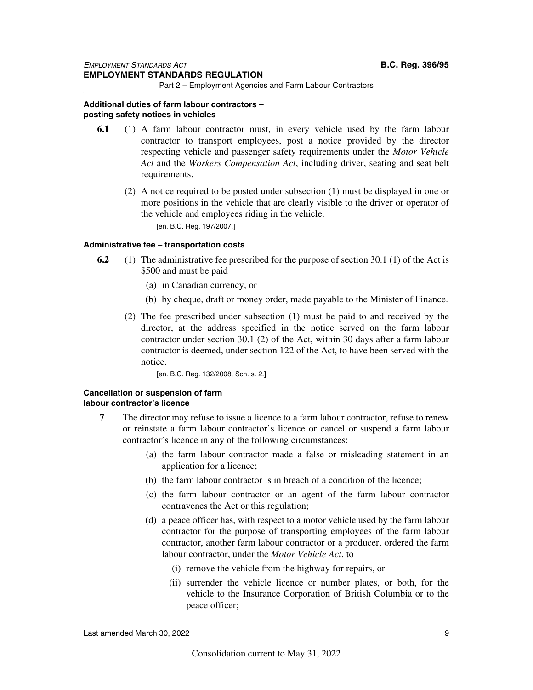#### **Additional duties of farm labour contractors – posting safety notices in vehicles**

- **6.1** (1) A farm labour contractor must, in every vehicle used by the farm labour contractor to transport employees, post a notice provided by the director respecting vehicle and passenger safety requirements under the *Motor Vehicle Act* and the *Workers Compensation Act*, including driver, seating and seat belt requirements.
	- (2) A notice required to be posted under subsection (1) must be displayed in one or more positions in the vehicle that are clearly visible to the driver or operator of the vehicle and employees riding in the vehicle. [en. B.C. Reg. 197/2007.]

#### **Administrative fee – transportation costs**

- **6.2** (1) The administrative fee prescribed for the purpose of section 30.1 (1) of the Act is \$500 and must be paid
	- (a) in Canadian currency, or
	- (b) by cheque, draft or money order, made payable to the Minister of Finance.
	- (2) The fee prescribed under subsection (1) must be paid to and received by the director, at the address specified in the notice served on the farm labour contractor under section 30.1 (2) of the Act, within 30 days after a farm labour contractor is deemed, under section 122 of the Act, to have been served with the notice.

[en. B.C. Reg. 132/2008, Sch. s. 2.]

#### **Cancellation or suspension of farm labour contractor's licence**

- **7** The director may refuse to issue a licence to a farm labour contractor, refuse to renew or reinstate a farm labour contractor's licence or cancel or suspend a farm labour contractor's licence in any of the following circumstances:
	- (a) the farm labour contractor made a false or misleading statement in an application for a licence;
	- (b) the farm labour contractor is in breach of a condition of the licence;
	- (c) the farm labour contractor or an agent of the farm labour contractor contravenes the Act or this regulation;
	- (d) a peace officer has, with respect to a motor vehicle used by the farm labour contractor for the purpose of transporting employees of the farm labour contractor, another farm labour contractor or a producer, ordered the farm labour contractor, under the *Motor Vehicle Act*, to
		- (i) remove the vehicle from the highway for repairs, or
		- (ii) surrender the vehicle licence or number plates, or both, for the vehicle to the Insurance Corporation of British Columbia or to the peace officer;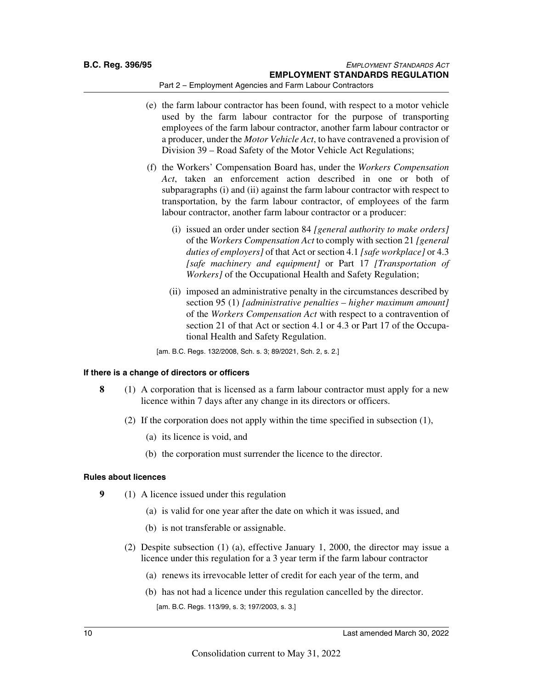- (e) the farm labour contractor has been found, with respect to a motor vehicle used by the farm labour contractor for the purpose of transporting employees of the farm labour contractor, another farm labour contractor or a producer, under the *Motor Vehicle Act*, to have contravened a provision of Division 39 – Road Safety of the Motor Vehicle Act Regulations;
- (f) the Workers' Compensation Board has, under the *Workers Compensation Act*, taken an enforcement action described in one or both of subparagraphs (i) and (ii) against the farm labour contractor with respect to transportation, by the farm labour contractor, of employees of the farm labour contractor, another farm labour contractor or a producer:
	- (i) issued an order under section 84 *[general authority to make orders]* of the *Workers Compensation Act* to comply with section 21 *[general duties of employers]* of that Act or section 4.1 *[safe workplace]* or 4.3 *[safe machinery and equipment]* or Part 17 *[Transportation of Workers]* of the Occupational Health and Safety Regulation;
	- (ii) imposed an administrative penalty in the circumstances described by section 95 (1) *[administrative penalties – higher maximum amount]* of the *Workers Compensation Act* with respect to a contravention of section 21 of that Act or section 4.1 or 4.3 or Part 17 of the Occupational Health and Safety Regulation.

[am. B.C. Regs. 132/2008, Sch. s. 3; 89/2021, Sch. 2, s. 2.]

#### **If there is a change of directors or officers**

- **8** (1) A corporation that is licensed as a farm labour contractor must apply for a new licence within 7 days after any change in its directors or officers.
	- (2) If the corporation does not apply within the time specified in subsection (1),
		- (a) its licence is void, and
		- (b) the corporation must surrender the licence to the director.

#### **Rules about licences**

- **9** (1) A licence issued under this regulation
	- (a) is valid for one year after the date on which it was issued, and
	- (b) is not transferable or assignable.
	- (2) Despite subsection (1) (a), effective January 1, 2000, the director may issue a licence under this regulation for a 3 year term if the farm labour contractor
		- (a) renews its irrevocable letter of credit for each year of the term, and
		- (b) has not had a licence under this regulation cancelled by the director. [am. B.C. Regs. 113/99, s. 3; 197/2003, s. 3.]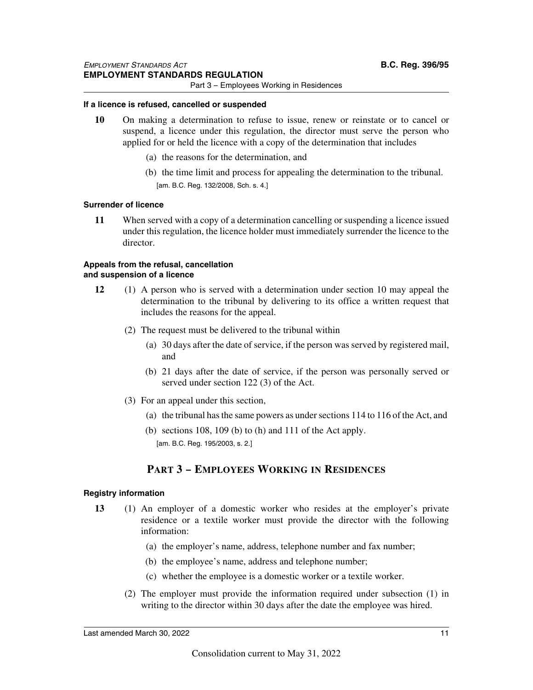Part 3 – Employees Working in Residences

#### **If a licence is refused, cancelled or suspended**

- **10** On making a determination to refuse to issue, renew or reinstate or to cancel or suspend, a licence under this regulation, the director must serve the person who applied for or held the licence with a copy of the determination that includes
	- (a) the reasons for the determination, and
	- (b) the time limit and process for appealing the determination to the tribunal. [am. B.C. Reg. 132/2008, Sch. s. 4.]

#### **Surrender of licence**

**11** When served with a copy of a determination cancelling or suspending a licence issued under this regulation, the licence holder must immediately surrender the licence to the director.

#### **Appeals from the refusal, cancellation and suspension of a licence**

- **12** (1) A person who is served with a determination under section 10 may appeal the determination to the tribunal by delivering to its office a written request that includes the reasons for the appeal.
	- (2) The request must be delivered to the tribunal within
		- (a) 30 days after the date of service, if the person was served by registered mail, and
		- (b) 21 days after the date of service, if the person was personally served or served under section 122 (3) of the Act.
	- (3) For an appeal under this section,
		- (a) the tribunal has the same powers as under sections 114 to 116 of the Act, and
		- (b) sections 108, 109 (b) to (h) and 111 of the Act apply. [am. B.C. Reg. 195/2003, s. 2.]

## **PART 3 – EMPLOYEES WORKING IN RESIDENCES**

#### **Registry information**

- **13** (1) An employer of a domestic worker who resides at the employer's private residence or a textile worker must provide the director with the following information:
	- (a) the employer's name, address, telephone number and fax number;
	- (b) the employee's name, address and telephone number;
	- (c) whether the employee is a domestic worker or a textile worker.
	- (2) The employer must provide the information required under subsection (1) in writing to the director within 30 days after the date the employee was hired.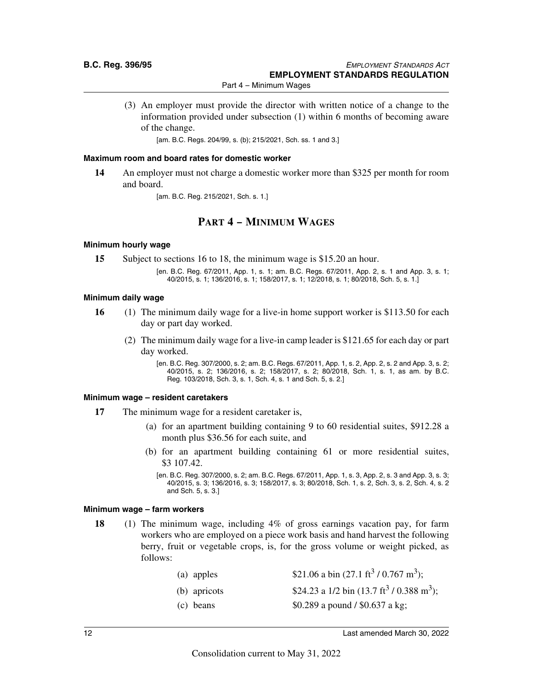Part 4 – Minimum Wages

(3) An employer must provide the director with written notice of a change to the information provided under subsection (1) within 6 months of becoming aware of the change.

[am. B.C. Regs. 204/99, s. (b); 215/2021, Sch. ss. 1 and 3.]

#### **Maximum room and board rates for domestic worker**

**14** An employer must not charge a domestic worker more than \$325 per month for room and board.

[am. B.C. Reg. 215/2021, Sch. s. 1.]

## **PART 4 – MINIMUM WAGES**

#### **Minimum hourly wage**

- **15** Subject to sections 16 to 18, the minimum wage is \$15.20 an hour.
	- [en. B.C. Reg. 67/2011, App. 1, s. 1; am. B.C. Regs. 67/2011, App. 2, s. 1 and App. 3, s. 1; 40/2015, s. 1; 136/2016, s. 1; 158/2017, s. 1; 12/2018, s. 1; 80/2018, Sch. 5, s. 1.]

#### **Minimum daily wage**

- **16** (1) The minimum daily wage for a live-in home support worker is \$113.50 for each day or part day worked.
	- (2) The minimum daily wage for a live-in camp leader is \$121.65 for each day or part day worked.

[en. B.C. Reg. 307/2000, s. 2; am. B.C. Regs. 67/2011, App. 1, s. 2, App. 2, s. 2 and App. 3, s. 2; 40/2015, s. 2; 136/2016, s. 2; 158/2017, s. 2; 80/2018, Sch. 1, s. 1, as am. by B.C. Reg. 103/2018, Sch. 3, s. 1, Sch. 4, s. 1 and Sch. 5, s. 2.]

#### **Minimum wage – resident caretakers**

- **17** The minimum wage for a resident caretaker is,
	- (a) for an apartment building containing 9 to 60 residential suites, \$912.28 a month plus \$36.56 for each suite, and
	- (b) for an apartment building containing 61 or more residential suites, \$3 107.42.

#### **Minimum wage – farm workers**

**18** (1) The minimum wage, including 4% of gross earnings vacation pay, for farm workers who are employed on a piece work basis and hand harvest the following berry, fruit or vegetable crops, is, for the gross volume or weight picked, as follows:

| (a) apples   | \$21.06 a bin $(27.1 \text{ ft}^3 / 0.767 \text{ m}^3)$ ;     |
|--------------|---------------------------------------------------------------|
| (b) apricots | \$24.23 a 1/2 bin $(13.7 \text{ ft}^3 / 0.388 \text{ m}^3)$ ; |
| (c) beans    | \$0.289 a pound / \$0.637 a kg;                               |

<sup>[</sup>en. B.C. Reg. 307/2000, s. 2; am. B.C. Regs. 67/2011, App. 1, s. 3, App. 2, s. 3 and App. 3, s. 3; 40/2015, s. 3; 136/2016, s. 3; 158/2017, s. 3; 80/2018, Sch. 1, s. 2, Sch. 3, s. 2, Sch. 4, s. 2 and Sch. 5, s. 3.]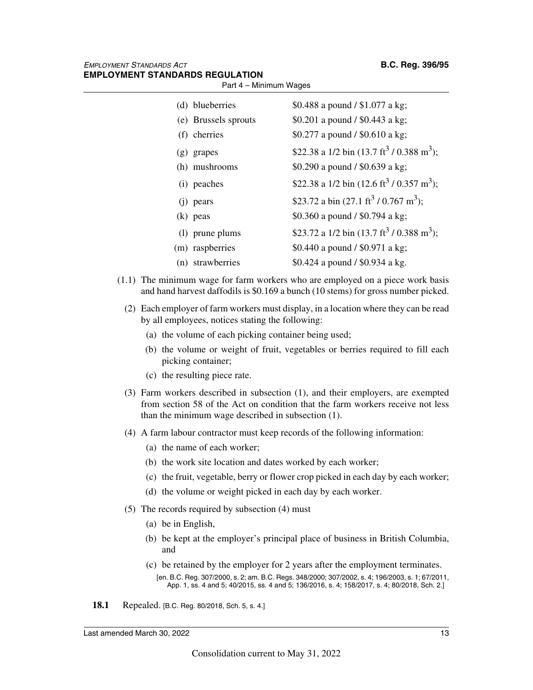| (d) blueberries      | \$0.488 a pound / \$1.077 a kg;                                   |
|----------------------|-------------------------------------------------------------------|
| (e) Brussels sprouts | \$0.201 a pound / \$0.443 a kg;                                   |
| (f) cherries         | \$0.277 a pound / \$0.610 a kg;                                   |
| (g) grapes           | \$22.38 a 1/2 bin $(13.7 \text{ ft}^3 / 0.388 \text{ m}^3)$ ;     |
| (h) mushrooms        | \$0.290 a pound / \$0.639 a kg;                                   |
| (i) peaches          | \$22.38 a 1/2 bin (12.6 ft <sup>3</sup> / 0.357 m <sup>3</sup> ); |
| $(i)$ pears          | \$23.72 a bin $(27.1 \text{ ft}^3 / 0.767 \text{ m}^3)$ ;         |
| $(k)$ peas           | \$0.360 a pound / \$0.794 a kg;                                   |
| (1) prune plums      | \$23.72 a 1/2 bin (13.7 ft <sup>3</sup> / 0.388 m <sup>3</sup> ); |
| (m) raspberries      | \$0.440 a pound / \$0.971 a kg;                                   |
| (n) strawberries     | \$0.424 a pound / \$0.934 a kg.                                   |

Part 4 – Minimum Wages

- (1.1) The minimum wage for farm workers who are employed on a piece work basis and hand harvest daffodils is \$0.169 a bunch (10 stems) for gross number picked.
	- (2) Each employer of farm workers must display, in a location where they can be read by all employees, notices stating the following:
		- (a) the volume of each picking container being used;
		- (b) the volume or weight of fruit, vegetables or berries required to fill each picking container;
		- (c) the resulting piece rate.
	- (3) Farm workers described in subsection (1), and their employers, are exempted from section 58 of the Act on condition that the farm workers receive not less than the minimum wage described in subsection (1).
	- (4) A farm labour contractor must keep records of the following information:
		- (a) the name of each worker;
		- (b) the work site location and dates worked by each worker;
		- (c) the fruit, vegetable, berry or flower crop picked in each day by each worker;
		- (d) the volume or weight picked in each day by each worker.
	- (5) The records required by subsection (4) must
		- (a) be in English,
		- (b) be kept at the employer's principal place of business in British Columbia, and
		- (c) be retained by the employer for 2 years after the employment terminates. [en. B.C. Reg. 307/2000, s. 2; am. B.C. Regs. 348/2000; 307/2002, s. 4; 196/2003, s. 1; 67/2011,
			- App. 1, ss. 4 and 5; 40/2015, ss. 4 and 5; 136/2016, s. 4; 158/2017, s. 4; 80/2018, Sch. 2.]
- **18.1** Repealed. [B.C. Reg. 80/2018, Sch. 5, s. 4.]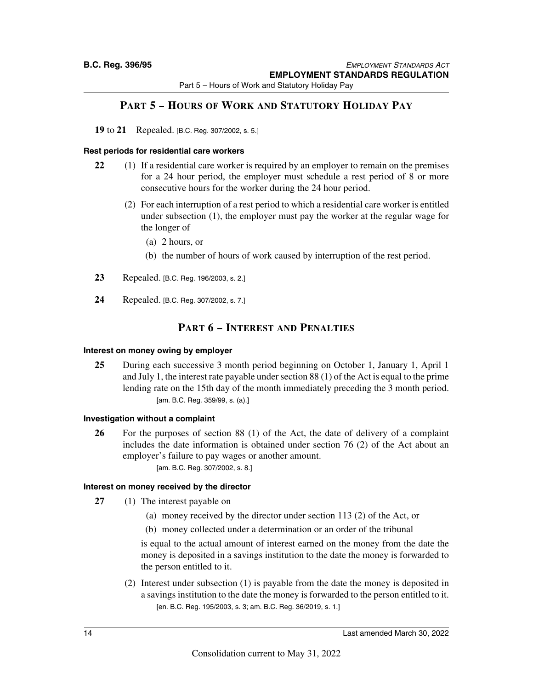Part 5 – Hours of Work and Statutory Holiday Pay

## **PART 5 – HOURS OF WORK AND STATUTORY HOLIDAY PAY**

**19** to **21** Repealed. [B.C. Reg. 307/2002, s. 5.]

#### **Rest periods for residential care workers**

- **22** (1) If a residential care worker is required by an employer to remain on the premises for a 24 hour period, the employer must schedule a rest period of 8 or more consecutive hours for the worker during the 24 hour period.
	- (2) For each interruption of a rest period to which a residential care worker is entitled under subsection (1), the employer must pay the worker at the regular wage for the longer of
		- (a) 2 hours, or
		- (b) the number of hours of work caused by interruption of the rest period.
- **23** Repealed. [B.C. Reg. 196/2003, s. 2.]
- **24** Repealed. [B.C. Reg. 307/2002, s. 7.]

## **PART 6 – INTEREST AND PENALTIES**

#### **Interest on money owing by employer**

**25** During each successive 3 month period beginning on October 1, January 1, April 1 and July 1, the interest rate payable under section 88 (1) of the Act is equal to the prime lending rate on the 15th day of the month immediately preceding the 3 month period. [am. B.C. Reg. 359/99, s. (a).]

#### **Investigation without a complaint**

**26** For the purposes of section 88 (1) of the Act, the date of delivery of a complaint includes the date information is obtained under section 76 (2) of the Act about an employer's failure to pay wages or another amount.

[am. B.C. Reg. 307/2002, s. 8.]

#### **Interest on money received by the director**

- **27** (1) The interest payable on
	- (a) money received by the director under section 113 (2) of the Act, or
		- (b) money collected under a determination or an order of the tribunal

is equal to the actual amount of interest earned on the money from the date the money is deposited in a savings institution to the date the money is forwarded to the person entitled to it.

(2) Interest under subsection (1) is payable from the date the money is deposited in a savings institution to the date the money is forwarded to the person entitled to it. [en. B.C. Reg. 195/2003, s. 3; am. B.C. Reg. 36/2019, s. 1.]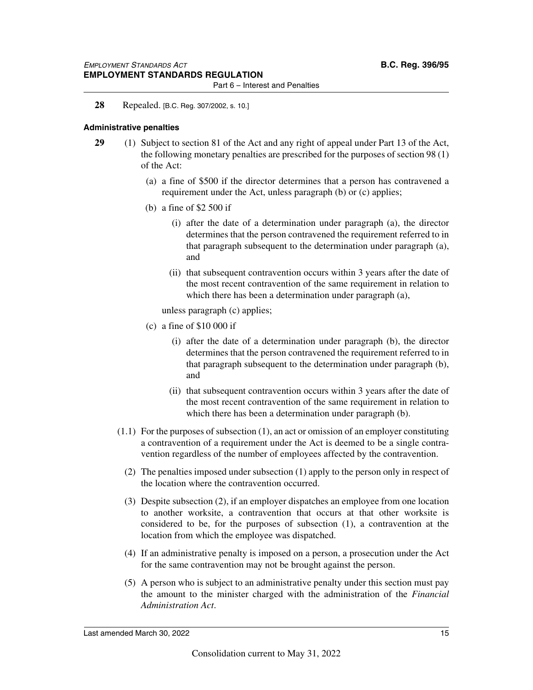Part 6 – Interest and Penalties

#### **28** Repealed. [B.C. Reg. 307/2002, s. 10.]

#### **Administrative penalties**

- **29** (1) Subject to section 81 of the Act and any right of appeal under Part 13 of the Act, the following monetary penalties are prescribed for the purposes of section 98 (1) of the Act:
	- (a) a fine of \$500 if the director determines that a person has contravened a requirement under the Act, unless paragraph (b) or (c) applies;
	- (b) a fine of \$2 500 if
		- (i) after the date of a determination under paragraph (a), the director determines that the person contravened the requirement referred to in that paragraph subsequent to the determination under paragraph (a), and
		- (ii) that subsequent contravention occurs within 3 years after the date of the most recent contravention of the same requirement in relation to which there has been a determination under paragraph (a),

unless paragraph (c) applies;

- (c) a fine of \$10 000 if
	- (i) after the date of a determination under paragraph (b), the director determines that the person contravened the requirement referred to in that paragraph subsequent to the determination under paragraph (b), and
	- (ii) that subsequent contravention occurs within 3 years after the date of the most recent contravention of the same requirement in relation to which there has been a determination under paragraph (b).
- (1.1) For the purposes of subsection (1), an act or omission of an employer constituting a contravention of a requirement under the Act is deemed to be a single contravention regardless of the number of employees affected by the contravention.
	- (2) The penalties imposed under subsection (1) apply to the person only in respect of the location where the contravention occurred.
	- (3) Despite subsection (2), if an employer dispatches an employee from one location to another worksite, a contravention that occurs at that other worksite is considered to be, for the purposes of subsection (1), a contravention at the location from which the employee was dispatched.
	- (4) If an administrative penalty is imposed on a person, a prosecution under the Act for the same contravention may not be brought against the person.
	- (5) A person who is subject to an administrative penalty under this section must pay the amount to the minister charged with the administration of the *Financial Administration Act*.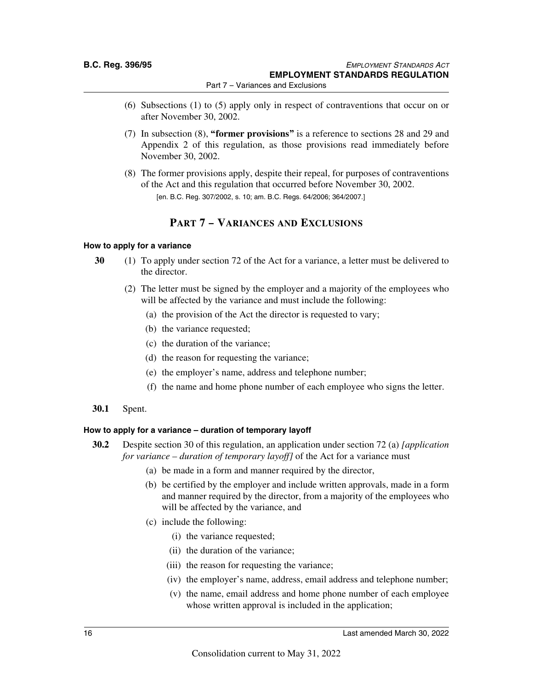- Part 7 Variances and Exclusions
- (6) Subsections (1) to (5) apply only in respect of contraventions that occur on or after November 30, 2002.
- (7) In subsection (8), **"former provisions"** is a reference to sections 28 and 29 and Appendix 2 of this regulation, as those provisions read immediately before November 30, 2002.
- (8) The former provisions apply, despite their repeal, for purposes of contraventions of the Act and this regulation that occurred before November 30, 2002. [en. B.C. Reg. 307/2002, s. 10; am. B.C. Regs. 64/2006; 364/2007.]

## **PART 7 – VARIANCES AND EXCLUSIONS**

#### **How to apply for a variance**

- **30** (1) To apply under section 72 of the Act for a variance, a letter must be delivered to the director.
	- (2) The letter must be signed by the employer and a majority of the employees who will be affected by the variance and must include the following:
		- (a) the provision of the Act the director is requested to vary;
		- (b) the variance requested;
		- (c) the duration of the variance;
		- (d) the reason for requesting the variance;
		- (e) the employer's name, address and telephone number;
		- (f) the name and home phone number of each employee who signs the letter.

#### **30.1** Spent.

#### **How to apply for a variance – duration of temporary layoff**

- **30.2** Despite section 30 of this regulation, an application under section 72 (a) *[application for variance – duration of temporary layoff]* of the Act for a variance must
	- (a) be made in a form and manner required by the director,
	- (b) be certified by the employer and include written approvals, made in a form and manner required by the director, from a majority of the employees who will be affected by the variance, and
	- (c) include the following:
		- (i) the variance requested;
		- (ii) the duration of the variance;
		- (iii) the reason for requesting the variance;
		- (iv) the employer's name, address, email address and telephone number;
		- (v) the name, email address and home phone number of each employee whose written approval is included in the application;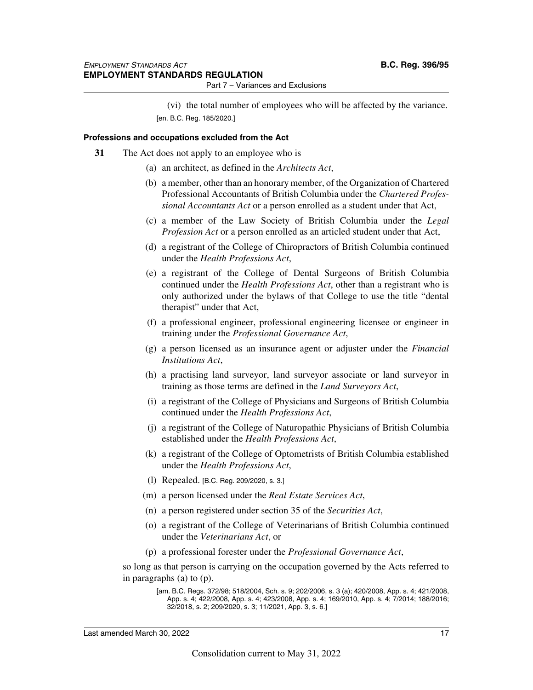(vi) the total number of employees who will be affected by the variance. [en. B.C. Reg. 185/2020.]

#### **Professions and occupations excluded from the Act**

- **31** The Act does not apply to an employee who is
	- (a) an architect, as defined in the *Architects Act*,
	- (b) a member, other than an honorary member, of the Organization of Chartered Professional Accountants of British Columbia under the *Chartered Professional Accountants Act* or a person enrolled as a student under that Act,
	- (c) a member of the Law Society of British Columbia under the *Legal Profession Act* or a person enrolled as an articled student under that Act,
	- (d) a registrant of the College of Chiropractors of British Columbia continued under the *Health Professions Act*,
	- (e) a registrant of the College of Dental Surgeons of British Columbia continued under the *Health Professions Act*, other than a registrant who is only authorized under the bylaws of that College to use the title "dental therapist" under that Act,
	- (f) a professional engineer, professional engineering licensee or engineer in training under the *Professional Governance Act*,
	- (g) a person licensed as an insurance agent or adjuster under the *Financial Institutions Act*,
	- (h) a practising land surveyor, land surveyor associate or land surveyor in training as those terms are defined in the *Land Surveyors Act*,
	- (i) a registrant of the College of Physicians and Surgeons of British Columbia continued under the *Health Professions Act*,
	- (j) a registrant of the College of Naturopathic Physicians of British Columbia established under the *Health Professions Act*,
	- (k) a registrant of the College of Optometrists of British Columbia established under the *Health Professions Act*,
	- (l) Repealed. [B.C. Reg. 209/2020, s. 3.]
	- (m) a person licensed under the *Real Estate Services Act*,
	- (n) a person registered under section 35 of the *Securities Act*,
	- (o) a registrant of the College of Veterinarians of British Columbia continued under the *Veterinarians Act*, or
	- (p) a professional forester under the *Professional Governance Act*,

so long as that person is carrying on the occupation governed by the Acts referred to in paragraphs (a) to (p).

<sup>[</sup>am. B.C. Regs. 372/98; 518/2004, Sch. s. 9; 202/2006, s. 3 (a); 420/2008, App. s. 4; 421/2008, App. s. 4; 422/2008, App. s. 4; 423/2008, App. s. 4; 169/2010, App. s. 4; 7/2014; 188/2016; 32/2018, s. 2; 209/2020, s. 3; 11/2021, App. 3, s. 6.]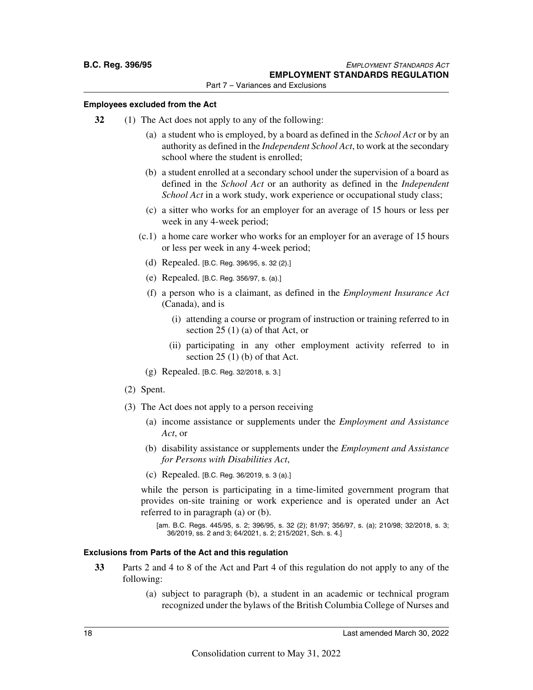#### **Employees excluded from the Act**

- **32** (1) The Act does not apply to any of the following:
	- (a) a student who is employed, by a board as defined in the *School Act* or by an authority as defined in the *Independent School Act*, to work at the secondary school where the student is enrolled;
	- (b) a student enrolled at a secondary school under the supervision of a board as defined in the *School Act* or an authority as defined in the *Independent School Act* in a work study, work experience or occupational study class;
	- (c) a sitter who works for an employer for an average of 15 hours or less per week in any 4-week period;
	- (c.1) a home care worker who works for an employer for an average of 15 hours or less per week in any 4-week period;
		- (d) Repealed. [B.C. Reg. 396/95, s. 32 (2).]
		- (e) Repealed. [B.C. Reg. 356/97, s. (a).]
		- (f) a person who is a claimant, as defined in the *Employment Insurance Act* (Canada), and is
			- (i) attending a course or program of instruction or training referred to in section 25 (1) (a) of that Act, or
			- (ii) participating in any other employment activity referred to in section  $25(1)$  (b) of that Act.
		- (g) Repealed. [B.C. Reg. 32/2018, s. 3.]
	- (2) Spent.
	- (3) The Act does not apply to a person receiving
		- (a) income assistance or supplements under the *Employment and Assistance Act*, or
		- (b) disability assistance or supplements under the *Employment and Assistance for Persons with Disabilities Act*,
		- (c) Repealed. [B.C. Reg. 36/2019, s. 3 (a).]

while the person is participating in a time-limited government program that provides on-site training or work experience and is operated under an Act referred to in paragraph (a) or (b).

[am. B.C. Regs. 445/95, s. 2; 396/95, s. 32 (2); 81/97; 356/97, s. (a); 210/98; 32/2018, s. 3; 36/2019, ss. 2 and 3; 64/2021, s. 2; 215/2021, Sch. s. 4.]

#### **Exclusions from Parts of the Act and this regulation**

- **33** Parts 2 and 4 to 8 of the Act and Part 4 of this regulation do not apply to any of the following:
	- (a) subject to paragraph (b), a student in an academic or technical program recognized under the bylaws of the British Columbia College of Nurses and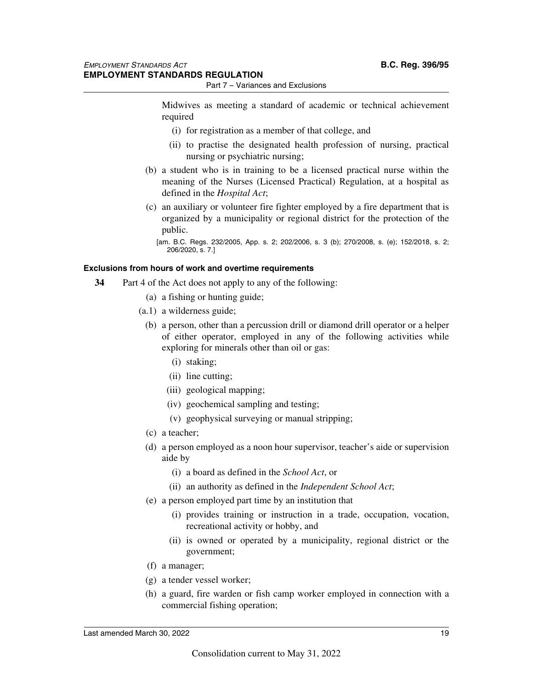Midwives as meeting a standard of academic or technical achievement required

- (i) for registration as a member of that college, and
- (ii) to practise the designated health profession of nursing, practical nursing or psychiatric nursing;
- (b) a student who is in training to be a licensed practical nurse within the meaning of the Nurses (Licensed Practical) Regulation, at a hospital as defined in the *Hospital Act*;
- (c) an auxiliary or volunteer fire fighter employed by a fire department that is organized by a municipality or regional district for the protection of the public.

[am. B.C. Regs. 232/2005, App. s. 2; 202/2006, s. 3 (b); 270/2008, s. (e); 152/2018, s. 2; 206/2020, s. 7.]

#### **Exclusions from hours of work and overtime requirements**

- **34** Part 4 of the Act does not apply to any of the following:
	- (a) a fishing or hunting guide;
	- (a.1) a wilderness guide;
		- (b) a person, other than a percussion drill or diamond drill operator or a helper of either operator, employed in any of the following activities while exploring for minerals other than oil or gas:
			- (i) staking;
			- (ii) line cutting;
			- (iii) geological mapping;
			- (iv) geochemical sampling and testing;
			- (v) geophysical surveying or manual stripping;
		- (c) a teacher;
		- (d) a person employed as a noon hour supervisor, teacher's aide or supervision aide by
			- (i) a board as defined in the *School Act*, or
			- (ii) an authority as defined in the *Independent School Act*;
		- (e) a person employed part time by an institution that
			- (i) provides training or instruction in a trade, occupation, vocation, recreational activity or hobby, and
			- (ii) is owned or operated by a municipality, regional district or the government;
		- (f) a manager;
		- (g) a tender vessel worker;
		- (h) a guard, fire warden or fish camp worker employed in connection with a commercial fishing operation;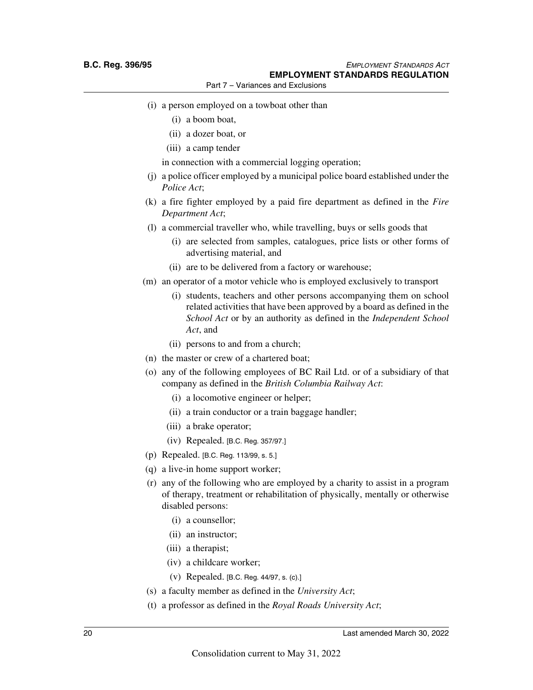- (i) a person employed on a towboat other than
	- (i) a boom boat,
	- (ii) a dozer boat, or
	- (iii) a camp tender

in connection with a commercial logging operation;

- (j) a police officer employed by a municipal police board established under the *Police Act*;
- (k) a fire fighter employed by a paid fire department as defined in the *Fire Department Act*;
- (l) a commercial traveller who, while travelling, buys or sells goods that
	- (i) are selected from samples, catalogues, price lists or other forms of advertising material, and
	- (ii) are to be delivered from a factory or warehouse;
- (m) an operator of a motor vehicle who is employed exclusively to transport
	- (i) students, teachers and other persons accompanying them on school related activities that have been approved by a board as defined in the *School Act* or by an authority as defined in the *Independent School Act*, and
	- (ii) persons to and from a church;
- (n) the master or crew of a chartered boat;
- (o) any of the following employees of BC Rail Ltd. or of a subsidiary of that company as defined in the *British Columbia Railway Act*:
	- (i) a locomotive engineer or helper;
	- (ii) a train conductor or a train baggage handler;
	- (iii) a brake operator;
	- (iv) Repealed. [B.C. Reg. 357/97.]
- (p) Repealed. [B.C. Reg. 113/99, s. 5.]
- (q) a live-in home support worker;
- (r) any of the following who are employed by a charity to assist in a program of therapy, treatment or rehabilitation of physically, mentally or otherwise disabled persons:
	- (i) a counsellor;
	- (ii) an instructor;
	- (iii) a therapist;
	- (iv) a childcare worker;
	- (v) Repealed. [B.C. Reg. 44/97, s. (c).]
- (s) a faculty member as defined in the *University Act*;
- (t) a professor as defined in the *Royal Roads University Act*;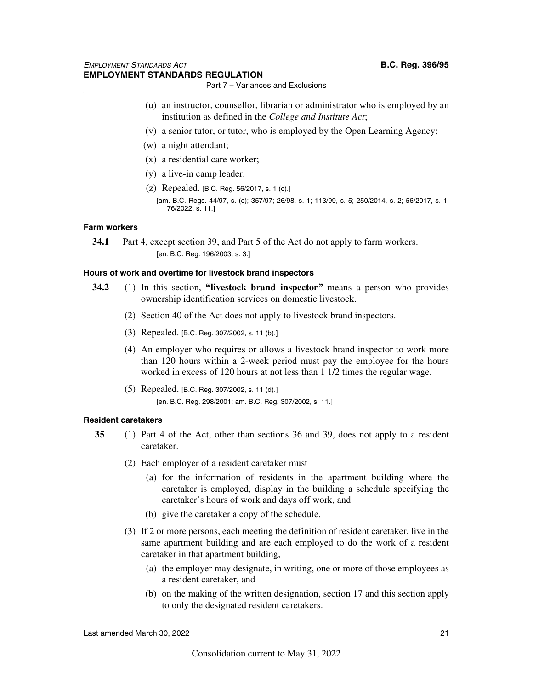- (u) an instructor, counsellor, librarian or administrator who is employed by an institution as defined in the *College and Institute Act*;
- (v) a senior tutor, or tutor, who is employed by the Open Learning Agency;
- (w) a night attendant;
- (x) a residential care worker;
- (y) a live-in camp leader.
- (z) Repealed. [B.C. Reg. 56/2017, s. 1 (c).] [am. B.C. Regs. 44/97, s. (c); 357/97; 26/98, s. 1; 113/99, s. 5; 250/2014, s. 2; 56/2017, s. 1; 76/2022, s. 11.]

#### **Farm workers**

**34.1** Part 4, except section 39, and Part 5 of the Act do not apply to farm workers. [en. B.C. Reg. 196/2003, s. 3.]

#### **Hours of work and overtime for livestock brand inspectors**

- **34.2** (1) In this section, **"livestock brand inspector"** means a person who provides ownership identification services on domestic livestock.
	- (2) Section 40 of the Act does not apply to livestock brand inspectors.
	- (3) Repealed. [B.C. Reg. 307/2002, s. 11 (b).]
	- (4) An employer who requires or allows a livestock brand inspector to work more than 120 hours within a 2-week period must pay the employee for the hours worked in excess of 120 hours at not less than 1 1/2 times the regular wage.
	- (5) Repealed. [B.C. Reg. 307/2002, s. 11 (d).] [en. B.C. Reg. 298/2001; am. B.C. Reg. 307/2002, s. 11.]

#### **Resident caretakers**

- **35** (1) Part 4 of the Act, other than sections 36 and 39, does not apply to a resident caretaker.
	- (2) Each employer of a resident caretaker must
		- (a) for the information of residents in the apartment building where the caretaker is employed, display in the building a schedule specifying the caretaker's hours of work and days off work, and
		- (b) give the caretaker a copy of the schedule.
	- (3) If 2 or more persons, each meeting the definition of resident caretaker, live in the same apartment building and are each employed to do the work of a resident caretaker in that apartment building,
		- (a) the employer may designate, in writing, one or more of those employees as a resident caretaker, and
		- (b) on the making of the written designation, section 17 and this section apply to only the designated resident caretakers.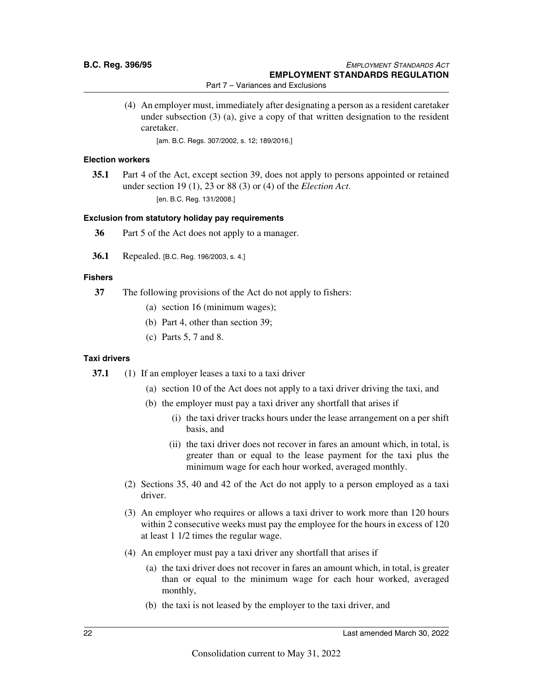(4) An employer must, immediately after designating a person as a resident caretaker under subsection (3) (a), give a copy of that written designation to the resident caretaker.

[am. B.C. Regs. 307/2002, s. 12; 189/2016.]

#### **Election workers**

**35.1** Part 4 of the Act, except section 39, does not apply to persons appointed or retained under section 19 (1), 23 or 88 (3) or (4) of the *Election Act*. [en. B.C. Reg. 131/2008.]

#### **Exclusion from statutory holiday pay requirements**

- **36** Part 5 of the Act does not apply to a manager.
- **36.1** Repealed. [B.C. Reg. 196/2003, s. 4.]

#### **Fishers**

- **37** The following provisions of the Act do not apply to fishers:
	- (a) section 16 (minimum wages);
	- (b) Part 4, other than section 39;
	- (c) Parts 5, 7 and 8.

#### **Taxi drivers**

- **37.1** (1) If an employer leases a taxi to a taxi driver
	- (a) section 10 of the Act does not apply to a taxi driver driving the taxi, and
	- (b) the employer must pay a taxi driver any shortfall that arises if
		- (i) the taxi driver tracks hours under the lease arrangement on a per shift basis, and
		- (ii) the taxi driver does not recover in fares an amount which, in total, is greater than or equal to the lease payment for the taxi plus the minimum wage for each hour worked, averaged monthly.
	- (2) Sections 35, 40 and 42 of the Act do not apply to a person employed as a taxi driver.
	- (3) An employer who requires or allows a taxi driver to work more than 120 hours within 2 consecutive weeks must pay the employee for the hours in excess of 120 at least 1 1/2 times the regular wage.
	- (4) An employer must pay a taxi driver any shortfall that arises if
		- (a) the taxi driver does not recover in fares an amount which, in total, is greater than or equal to the minimum wage for each hour worked, averaged monthly,
		- (b) the taxi is not leased by the employer to the taxi driver, and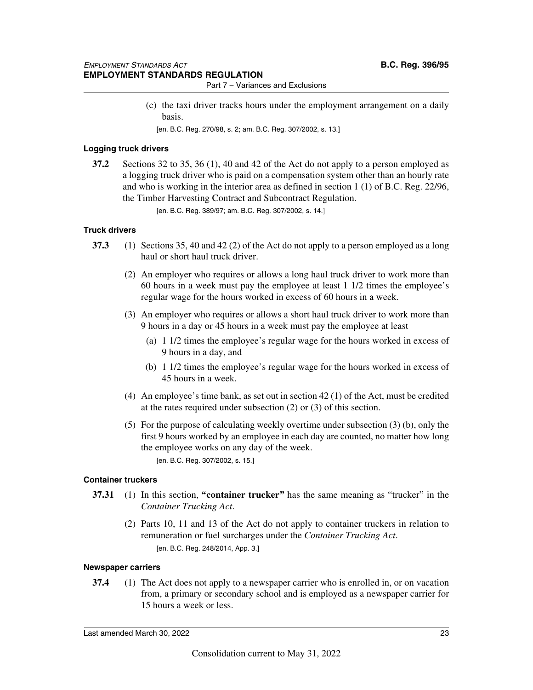- Part 7 Variances and Exclusions
- (c) the taxi driver tracks hours under the employment arrangement on a daily basis.
	- [en. B.C. Reg. 270/98, s. 2; am. B.C. Reg. 307/2002, s. 13.]

#### **Logging truck drivers**

**37.2** Sections 32 to 35, 36 (1), 40 and 42 of the Act do not apply to a person employed as a logging truck driver who is paid on a compensation system other than an hourly rate and who is working in the interior area as defined in section 1 (1) of B.C. Reg. 22/96, the Timber Harvesting Contract and Subcontract Regulation.

[en. B.C. Reg. 389/97; am. B.C. Reg. 307/2002, s. 14.]

#### **Truck drivers**

- **37.3** (1) Sections 35, 40 and 42 (2) of the Act do not apply to a person employed as a long haul or short haul truck driver.
	- (2) An employer who requires or allows a long haul truck driver to work more than 60 hours in a week must pay the employee at least 1 1/2 times the employee's regular wage for the hours worked in excess of 60 hours in a week.
	- (3) An employer who requires or allows a short haul truck driver to work more than 9 hours in a day or 45 hours in a week must pay the employee at least
		- (a) 1 1/2 times the employee's regular wage for the hours worked in excess of 9 hours in a day, and
		- (b) 1 1/2 times the employee's regular wage for the hours worked in excess of 45 hours in a week.
	- (4) An employee's time bank, as set out in section 42 (1) of the Act, must be credited at the rates required under subsection (2) or (3) of this section.
	- (5) For the purpose of calculating weekly overtime under subsection (3) (b), only the first 9 hours worked by an employee in each day are counted, no matter how long the employee works on any day of the week.

[en. B.C. Reg. 307/2002, s. 15.]

#### **Container truckers**

- **37.31** (1) In this section, **"container trucker"** has the same meaning as "trucker" in the *Container Trucking Act*.
	- (2) Parts 10, 11 and 13 of the Act do not apply to container truckers in relation to remuneration or fuel surcharges under the *Container Trucking Act*. [en. B.C. Reg. 248/2014, App. 3.]

#### **Newspaper carriers**

**37.4** (1) The Act does not apply to a newspaper carrier who is enrolled in, or on vacation from, a primary or secondary school and is employed as a newspaper carrier for 15 hours a week or less.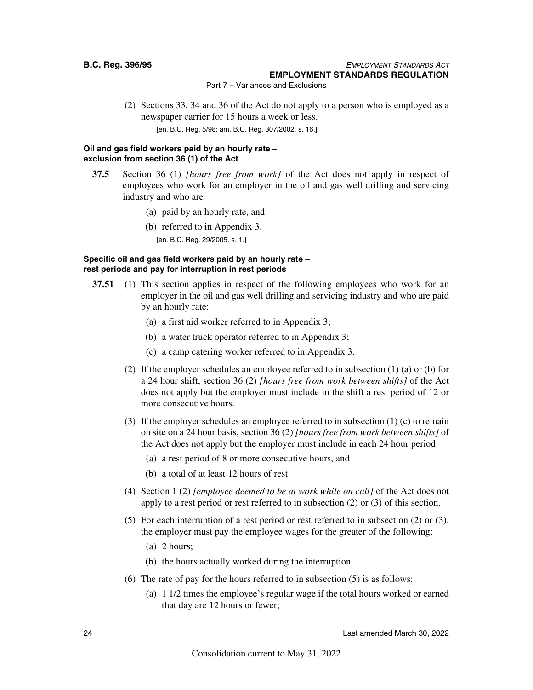(2) Sections 33, 34 and 36 of the Act do not apply to a person who is employed as a newspaper carrier for 15 hours a week or less.

[en. B.C. Reg. 5/98; am. B.C. Reg. 307/2002, s. 16.]

#### **Oil and gas field workers paid by an hourly rate – exclusion from section 36 (1) of the Act**

- **37.5** Section 36 (1) *[hours free from work]* of the Act does not apply in respect of employees who work for an employer in the oil and gas well drilling and servicing industry and who are
	- (a) paid by an hourly rate, and
	- (b) referred to in Appendix 3.

[en. B.C. Reg. 29/2005, s. 1.]

#### **Specific oil and gas field workers paid by an hourly rate – rest periods and pay for interruption in rest periods**

- **37.51** (1) This section applies in respect of the following employees who work for an employer in the oil and gas well drilling and servicing industry and who are paid by an hourly rate:
	- (a) a first aid worker referred to in Appendix 3;
	- (b) a water truck operator referred to in Appendix 3;
	- (c) a camp catering worker referred to in Appendix 3.
	- (2) If the employer schedules an employee referred to in subsection (1) (a) or (b) for a 24 hour shift, section 36 (2) *[hours free from work between shifts]* of the Act does not apply but the employer must include in the shift a rest period of 12 or more consecutive hours.
	- (3) If the employer schedules an employee referred to in subsection (1) (c) to remain on site on a 24 hour basis, section 36 (2) *[hours free from work between shifts]* of the Act does not apply but the employer must include in each 24 hour period
		- (a) a rest period of 8 or more consecutive hours, and
		- (b) a total of at least 12 hours of rest.
	- (4) Section 1 (2) *[employee deemed to be at work while on call]* of the Act does not apply to a rest period or rest referred to in subsection (2) or (3) of this section.
	- (5) For each interruption of a rest period or rest referred to in subsection (2) or (3), the employer must pay the employee wages for the greater of the following:
		- (a) 2 hours;
		- (b) the hours actually worked during the interruption.
	- (6) The rate of pay for the hours referred to in subsection (5) is as follows:
		- (a) 1 1/2 times the employee's regular wage if the total hours worked or earned that day are 12 hours or fewer;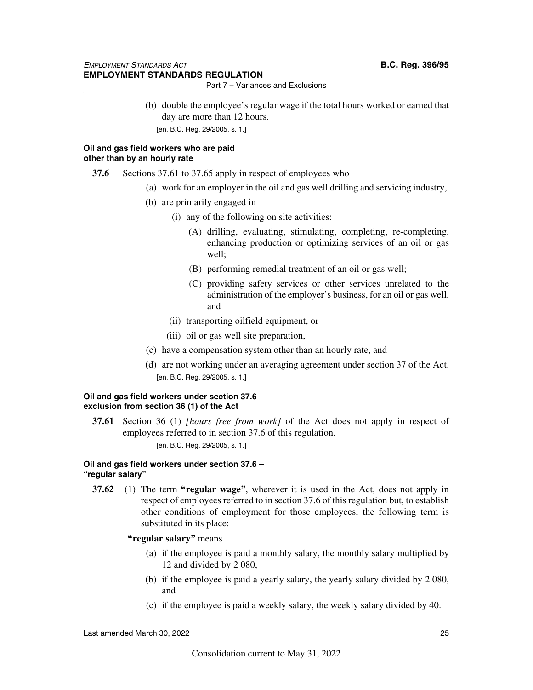(b) double the employee's regular wage if the total hours worked or earned that day are more than 12 hours. [en. B.C. Reg. 29/2005, s. 1.]

#### **Oil and gas field workers who are paid other than by an hourly rate**

- **37.6** Sections 37.61 to 37.65 apply in respect of employees who
	- (a) work for an employer in the oil and gas well drilling and servicing industry,
	- (b) are primarily engaged in
		- (i) any of the following on site activities:
			- (A) drilling, evaluating, stimulating, completing, re-completing, enhancing production or optimizing services of an oil or gas well;
			- (B) performing remedial treatment of an oil or gas well;
			- (C) providing safety services or other services unrelated to the administration of the employer's business, for an oil or gas well, and
		- (ii) transporting oilfield equipment, or
		- (iii) oil or gas well site preparation,
	- (c) have a compensation system other than an hourly rate, and
	- (d) are not working under an averaging agreement under section 37 of the Act. [en. B.C. Reg. 29/2005, s. 1.]

#### **Oil and gas field workers under section 37.6 – exclusion from section 36 (1) of the Act**

**37.61** Section 36 (1) *[hours free from work]* of the Act does not apply in respect of employees referred to in section 37.6 of this regulation.

[en. B.C. Reg. 29/2005, s. 1.]

#### **Oil and gas field workers under section 37.6 – "regular salary"**

**37.62** (1) The term **"regular wage"**, wherever it is used in the Act, does not apply in respect of employees referred to in section 37.6 of this regulation but, to establish other conditions of employment for those employees, the following term is substituted in its place:

#### **"regular salary"** means

- (a) if the employee is paid a monthly salary, the monthly salary multiplied by 12 and divided by 2 080,
- (b) if the employee is paid a yearly salary, the yearly salary divided by 2 080, and
- (c) if the employee is paid a weekly salary, the weekly salary divided by 40.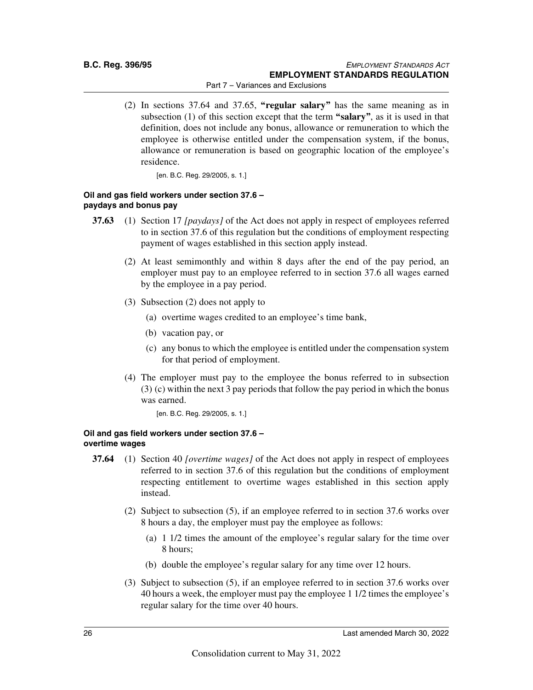(2) In sections 37.64 and 37.65, **"regular salary"** has the same meaning as in subsection (1) of this section except that the term **"salary"**, as it is used in that definition, does not include any bonus, allowance or remuneration to which the employee is otherwise entitled under the compensation system, if the bonus, allowance or remuneration is based on geographic location of the employee's residence.

[en. B.C. Reg. 29/2005, s. 1.]

#### **Oil and gas field workers under section 37.6 – paydays and bonus pay**

- **37.63** (1) Section 17 *[paydays]* of the Act does not apply in respect of employees referred to in section 37.6 of this regulation but the conditions of employment respecting payment of wages established in this section apply instead.
	- (2) At least semimonthly and within 8 days after the end of the pay period, an employer must pay to an employee referred to in section 37.6 all wages earned by the employee in a pay period.
	- (3) Subsection (2) does not apply to
		- (a) overtime wages credited to an employee's time bank,
		- (b) vacation pay, or
		- (c) any bonus to which the employee is entitled under the compensation system for that period of employment.
	- (4) The employer must pay to the employee the bonus referred to in subsection (3) (c) within the next 3 pay periods that follow the pay period in which the bonus was earned.

[en. B.C. Reg. 29/2005, s. 1.]

#### **Oil and gas field workers under section 37.6 – overtime wages**

- **37.64** (1) Section 40 *[overtime wages]* of the Act does not apply in respect of employees referred to in section 37.6 of this regulation but the conditions of employment respecting entitlement to overtime wages established in this section apply instead.
	- (2) Subject to subsection (5), if an employee referred to in section 37.6 works over 8 hours a day, the employer must pay the employee as follows:
		- (a) 1 1/2 times the amount of the employee's regular salary for the time over 8 hours;
		- (b) double the employee's regular salary for any time over 12 hours.
	- (3) Subject to subsection (5), if an employee referred to in section 37.6 works over 40 hours a week, the employer must pay the employee 1 1/2 times the employee's regular salary for the time over 40 hours.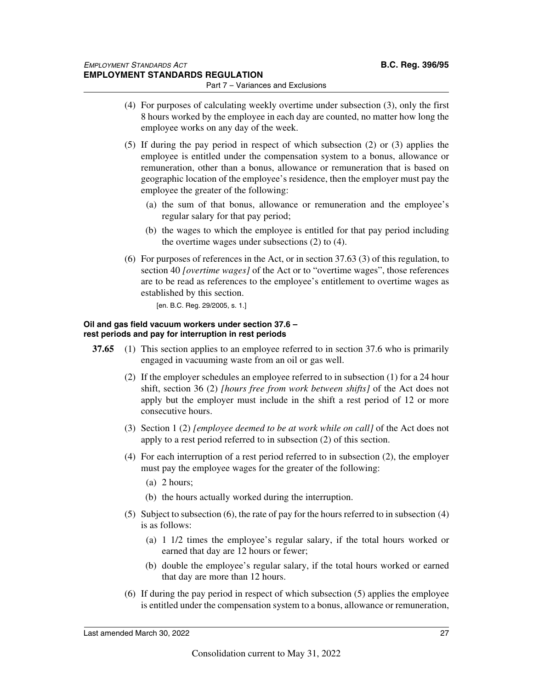- Part 7 Variances and Exclusions
- (4) For purposes of calculating weekly overtime under subsection (3), only the first 8 hours worked by the employee in each day are counted, no matter how long the employee works on any day of the week.
- (5) If during the pay period in respect of which subsection (2) or (3) applies the employee is entitled under the compensation system to a bonus, allowance or remuneration, other than a bonus, allowance or remuneration that is based on geographic location of the employee's residence, then the employer must pay the employee the greater of the following:
	- (a) the sum of that bonus, allowance or remuneration and the employee's regular salary for that pay period;
	- (b) the wages to which the employee is entitled for that pay period including the overtime wages under subsections (2) to (4).
- (6) For purposes of references in the Act, or in section 37.63 (3) of this regulation, to section 40 *[overtime wages]* of the Act or to "overtime wages", those references are to be read as references to the employee's entitlement to overtime wages as established by this section.

[en. B.C. Reg. 29/2005, s. 1.]

#### **Oil and gas field vacuum workers under section 37.6 – rest periods and pay for interruption in rest periods**

- **37.65** (1) This section applies to an employee referred to in section 37.6 who is primarily engaged in vacuuming waste from an oil or gas well.
	- (2) If the employer schedules an employee referred to in subsection (1) for a 24 hour shift, section 36 (2) *[hours free from work between shifts]* of the Act does not apply but the employer must include in the shift a rest period of 12 or more consecutive hours.
	- (3) Section 1 (2) *[employee deemed to be at work while on call]* of the Act does not apply to a rest period referred to in subsection (2) of this section.
	- (4) For each interruption of a rest period referred to in subsection (2), the employer must pay the employee wages for the greater of the following:
		- (a) 2 hours;
		- (b) the hours actually worked during the interruption.
	- (5) Subject to subsection (6), the rate of pay for the hours referred to in subsection (4) is as follows:
		- (a) 1 1/2 times the employee's regular salary, if the total hours worked or earned that day are 12 hours or fewer;
		- (b) double the employee's regular salary, if the total hours worked or earned that day are more than 12 hours.
	- (6) If during the pay period in respect of which subsection (5) applies the employee is entitled under the compensation system to a bonus, allowance or remuneration,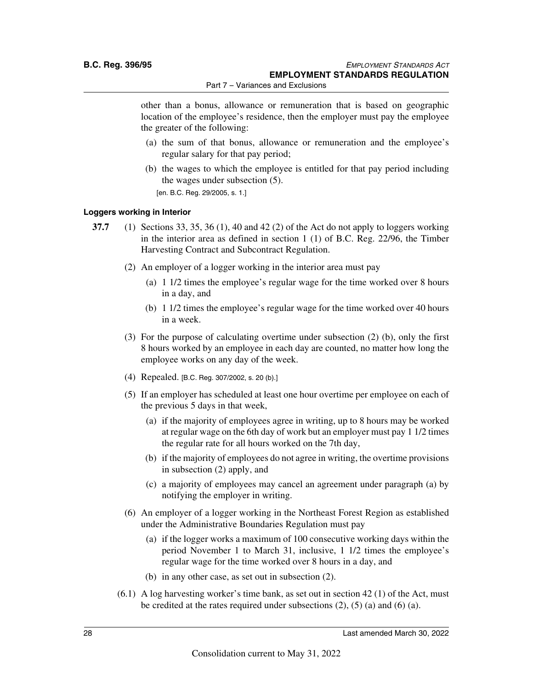other than a bonus, allowance or remuneration that is based on geographic location of the employee's residence, then the employer must pay the employee the greater of the following:

- (a) the sum of that bonus, allowance or remuneration and the employee's regular salary for that pay period;
- (b) the wages to which the employee is entitled for that pay period including the wages under subsection (5).

[en. B.C. Reg. 29/2005, s. 1.]

#### **Loggers working in Interior**

- **37.7** (1) Sections 33, 35, 36 (1), 40 and 42 (2) of the Act do not apply to loggers working in the interior area as defined in section 1 (1) of B.C. Reg. 22/96, the Timber Harvesting Contract and Subcontract Regulation.
	- (2) An employer of a logger working in the interior area must pay
		- (a) 1 1/2 times the employee's regular wage for the time worked over 8 hours in a day, and
		- (b) 1 1/2 times the employee's regular wage for the time worked over 40 hours in a week.
	- (3) For the purpose of calculating overtime under subsection (2) (b), only the first 8 hours worked by an employee in each day are counted, no matter how long the employee works on any day of the week.
	- (4) Repealed. [B.C. Reg. 307/2002, s. 20 (b).]
	- (5) If an employer has scheduled at least one hour overtime per employee on each of the previous 5 days in that week,
		- (a) if the majority of employees agree in writing, up to 8 hours may be worked at regular wage on the 6th day of work but an employer must pay 1 1/2 times the regular rate for all hours worked on the 7th day,
		- (b) if the majority of employees do not agree in writing, the overtime provisions in subsection (2) apply, and
		- (c) a majority of employees may cancel an agreement under paragraph (a) by notifying the employer in writing.
	- (6) An employer of a logger working in the Northeast Forest Region as established under the Administrative Boundaries Regulation must pay
		- (a) if the logger works a maximum of 100 consecutive working days within the period November 1 to March 31, inclusive, 1 1/2 times the employee's regular wage for the time worked over 8 hours in a day, and
		- (b) in any other case, as set out in subsection (2).
	- $(6.1)$  A log harvesting worker's time bank, as set out in section 42 (1) of the Act, must be credited at the rates required under subsections (2), (5) (a) and (6) (a).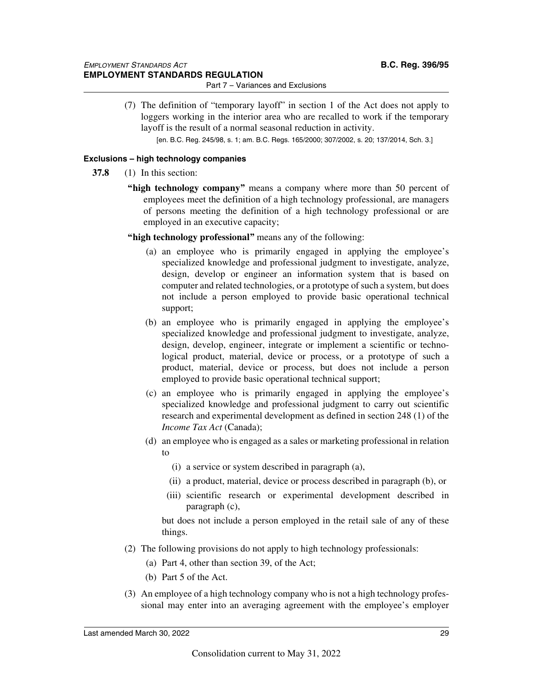(7) The definition of "temporary layoff" in section 1 of the Act does not apply to loggers working in the interior area who are recalled to work if the temporary layoff is the result of a normal seasonal reduction in activity.

[en. B.C. Reg. 245/98, s. 1; am. B.C. Regs. 165/2000; 307/2002, s. 20; 137/2014, Sch. 3.]

#### **Exclusions – high technology companies**

- **37.8** (1) In this section:
	- **"high technology company"** means a company where more than 50 percent of employees meet the definition of a high technology professional, are managers of persons meeting the definition of a high technology professional or are employed in an executive capacity;
	- **"high technology professional"** means any of the following:
		- (a) an employee who is primarily engaged in applying the employee's specialized knowledge and professional judgment to investigate, analyze, design, develop or engineer an information system that is based on computer and related technologies, or a prototype of such a system, but does not include a person employed to provide basic operational technical support;
		- (b) an employee who is primarily engaged in applying the employee's specialized knowledge and professional judgment to investigate, analyze, design, develop, engineer, integrate or implement a scientific or technological product, material, device or process, or a prototype of such a product, material, device or process, but does not include a person employed to provide basic operational technical support;
		- (c) an employee who is primarily engaged in applying the employee's specialized knowledge and professional judgment to carry out scientific research and experimental development as defined in section 248 (1) of the *Income Tax Act* (Canada);
		- (d) an employee who is engaged as a sales or marketing professional in relation to
			- (i) a service or system described in paragraph (a),
			- (ii) a product, material, device or process described in paragraph (b), or
			- (iii) scientific research or experimental development described in paragraph (c),

but does not include a person employed in the retail sale of any of these things.

- (2) The following provisions do not apply to high technology professionals:
	- (a) Part 4, other than section 39, of the Act;
	- (b) Part 5 of the Act.
- (3) An employee of a high technology company who is not a high technology professional may enter into an averaging agreement with the employee's employer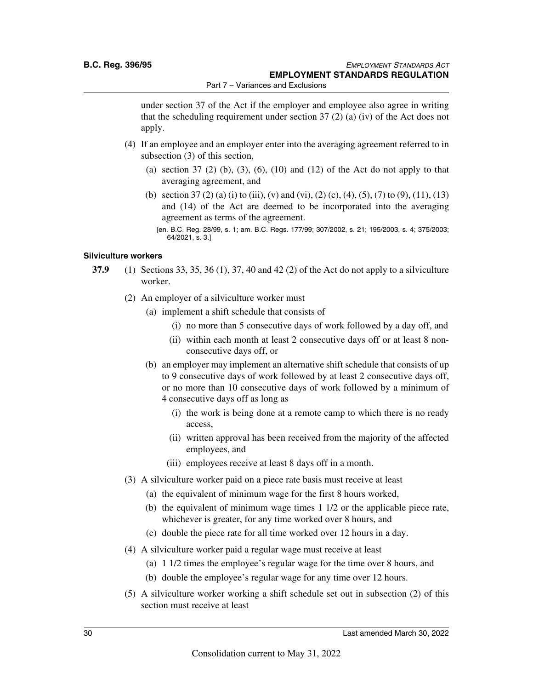under section 37 of the Act if the employer and employee also agree in writing that the scheduling requirement under section  $37(2)$  (a) (iv) of the Act does not apply.

- (4) If an employee and an employer enter into the averaging agreement referred to in subsection (3) of this section,
	- (a) section 37 (2) (b), (3), (6), (10) and (12) of the Act do not apply to that averaging agreement, and
	- (b) section 37 (2) (a) (i) to (iii), (v) and (vi), (2) (c), (4), (5), (7) to (9), (11), (13) and (14) of the Act are deemed to be incorporated into the averaging agreement as terms of the agreement.

#### **Silviculture workers**

- **37.9** (1) Sections 33, 35, 36 (1), 37, 40 and 42 (2) of the Act do not apply to a silviculture worker.
	- (2) An employer of a silviculture worker must
		- (a) implement a shift schedule that consists of
			- (i) no more than 5 consecutive days of work followed by a day off, and
			- (ii) within each month at least 2 consecutive days off or at least 8 nonconsecutive days off, or
		- (b) an employer may implement an alternative shift schedule that consists of up to 9 consecutive days of work followed by at least 2 consecutive days off, or no more than 10 consecutive days of work followed by a minimum of 4 consecutive days off as long as
			- (i) the work is being done at a remote camp to which there is no ready access,
			- (ii) written approval has been received from the majority of the affected employees, and
			- (iii) employees receive at least 8 days off in a month.
	- (3) A silviculture worker paid on a piece rate basis must receive at least
		- (a) the equivalent of minimum wage for the first 8 hours worked,
		- (b) the equivalent of minimum wage times 1 1/2 or the applicable piece rate, whichever is greater, for any time worked over 8 hours, and
		- (c) double the piece rate for all time worked over 12 hours in a day.
	- (4) A silviculture worker paid a regular wage must receive at least
		- (a) 1 1/2 times the employee's regular wage for the time over 8 hours, and
		- (b) double the employee's regular wage for any time over 12 hours.
	- (5) A silviculture worker working a shift schedule set out in subsection (2) of this section must receive at least

<sup>[</sup>en. B.C. Reg. 28/99, s. 1; am. B.C. Regs. 177/99; 307/2002, s. 21; 195/2003, s. 4; 375/2003; 64/2021, s. 3.]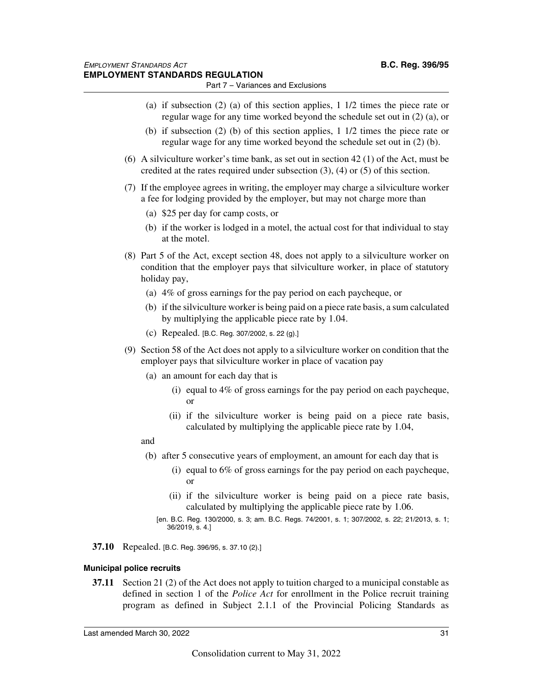- (a) if subsection (2) (a) of this section applies, 1 1/2 times the piece rate or regular wage for any time worked beyond the schedule set out in (2) (a), or
- (b) if subsection (2) (b) of this section applies, 1 1/2 times the piece rate or regular wage for any time worked beyond the schedule set out in (2) (b).
- (6) A silviculture worker's time bank, as set out in section 42 (1) of the Act, must be credited at the rates required under subsection (3), (4) or (5) of this section.
- (7) If the employee agrees in writing, the employer may charge a silviculture worker a fee for lodging provided by the employer, but may not charge more than
	- (a) \$25 per day for camp costs, or
	- (b) if the worker is lodged in a motel, the actual cost for that individual to stay at the motel.
- (8) Part 5 of the Act, except section 48, does not apply to a silviculture worker on condition that the employer pays that silviculture worker, in place of statutory holiday pay,
	- (a) 4% of gross earnings for the pay period on each paycheque, or
	- (b) if the silviculture worker is being paid on a piece rate basis, a sum calculated by multiplying the applicable piece rate by 1.04.
	- (c) Repealed. [B.C. Reg. 307/2002, s. 22 (g).]
- (9) Section 58 of the Act does not apply to a silviculture worker on condition that the employer pays that silviculture worker in place of vacation pay
	- (a) an amount for each day that is
		- (i) equal to 4% of gross earnings for the pay period on each paycheque, or
		- (ii) if the silviculture worker is being paid on a piece rate basis, calculated by multiplying the applicable piece rate by 1.04,
	- and
	- (b) after 5 consecutive years of employment, an amount for each day that is
		- (i) equal to 6% of gross earnings for the pay period on each paycheque, or
		- (ii) if the silviculture worker is being paid on a piece rate basis, calculated by multiplying the applicable piece rate by 1.06.
		- [en. B.C. Reg. 130/2000, s. 3; am. B.C. Regs. 74/2001, s. 1; 307/2002, s. 22; 21/2013, s. 1; 36/2019, s. 4.]
- **37.10** Repealed. [B.C. Reg. 396/95, s. 37.10 (2).]

#### **Municipal police recruits**

**37.11** Section 21 (2) of the Act does not apply to tuition charged to a municipal constable as defined in section 1 of the *Police Act* for enrollment in the Police recruit training program as defined in Subject 2.1.1 of the Provincial Policing Standards as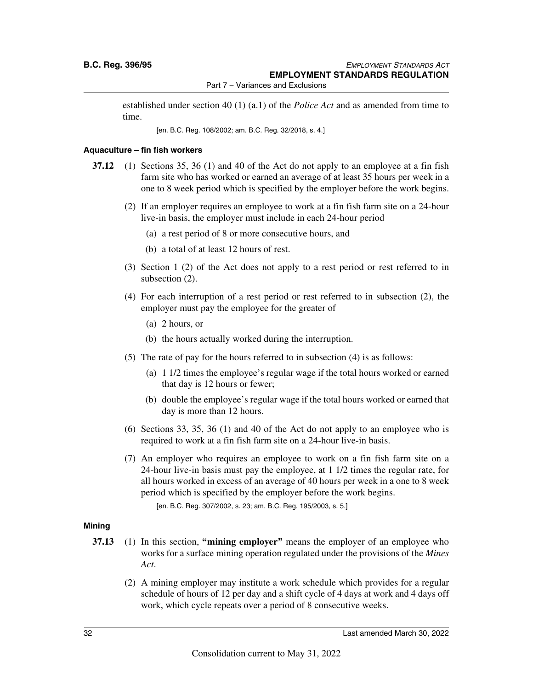established under section 40 (1) (a.1) of the *Police Act* and as amended from time to time.

[en. B.C. Reg. 108/2002; am. B.C. Reg. 32/2018, s. 4.]

#### **Aquaculture – fin fish workers**

- **37.12** (1) Sections 35, 36 (1) and 40 of the Act do not apply to an employee at a fin fish farm site who has worked or earned an average of at least 35 hours per week in a one to 8 week period which is specified by the employer before the work begins.
	- (2) If an employer requires an employee to work at a fin fish farm site on a 24-hour live-in basis, the employer must include in each 24-hour period
		- (a) a rest period of 8 or more consecutive hours, and
		- (b) a total of at least 12 hours of rest.
	- (3) Section 1 (2) of the Act does not apply to a rest period or rest referred to in subsection (2).
	- (4) For each interruption of a rest period or rest referred to in subsection (2), the employer must pay the employee for the greater of
		- (a) 2 hours, or
		- (b) the hours actually worked during the interruption.
	- (5) The rate of pay for the hours referred to in subsection (4) is as follows:
		- (a) 1 1/2 times the employee's regular wage if the total hours worked or earned that day is 12 hours or fewer;
		- (b) double the employee's regular wage if the total hours worked or earned that day is more than 12 hours.
	- (6) Sections 33, 35, 36 (1) and 40 of the Act do not apply to an employee who is required to work at a fin fish farm site on a 24-hour live-in basis.
	- (7) An employer who requires an employee to work on a fin fish farm site on a 24-hour live-in basis must pay the employee, at 1 1/2 times the regular rate, for all hours worked in excess of an average of 40 hours per week in a one to 8 week period which is specified by the employer before the work begins.

[en. B.C. Reg. 307/2002, s. 23; am. B.C. Reg. 195/2003, s. 5.]

#### **Mining**

- **37.13** (1) In this section, **"mining employer"** means the employer of an employee who works for a surface mining operation regulated under the provisions of the *Mines Act*.
	- (2) A mining employer may institute a work schedule which provides for a regular schedule of hours of 12 per day and a shift cycle of 4 days at work and 4 days off work, which cycle repeats over a period of 8 consecutive weeks.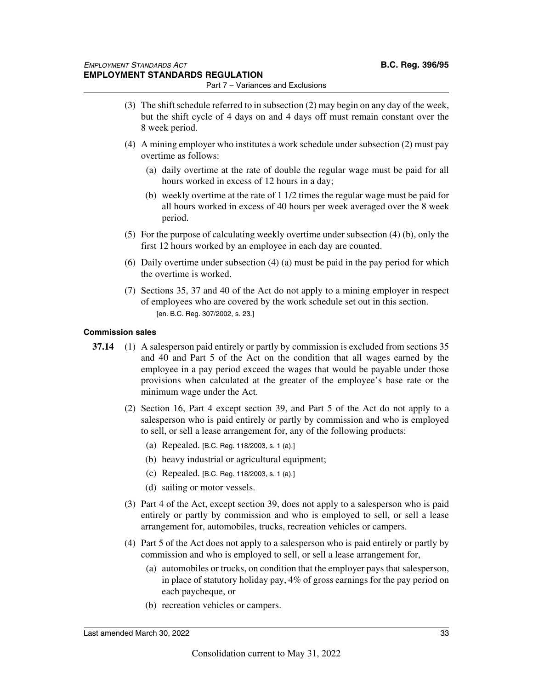- (3) The shift schedule referred to in subsection (2) may begin on any day of the week, but the shift cycle of 4 days on and 4 days off must remain constant over the 8 week period.
- (4) A mining employer who institutes a work schedule under subsection (2) must pay overtime as follows:
	- (a) daily overtime at the rate of double the regular wage must be paid for all hours worked in excess of 12 hours in a day;
	- (b) weekly overtime at the rate of 1 1/2 times the regular wage must be paid for all hours worked in excess of 40 hours per week averaged over the 8 week period.
- (5) For the purpose of calculating weekly overtime under subsection (4) (b), only the first 12 hours worked by an employee in each day are counted.
- (6) Daily overtime under subsection (4) (a) must be paid in the pay period for which the overtime is worked.
- (7) Sections 35, 37 and 40 of the Act do not apply to a mining employer in respect of employees who are covered by the work schedule set out in this section. [en. B.C. Reg. 307/2002, s. 23.]

#### **Commission sales**

- **37.14** (1) A salesperson paid entirely or partly by commission is excluded from sections 35 and 40 and Part 5 of the Act on the condition that all wages earned by the employee in a pay period exceed the wages that would be payable under those provisions when calculated at the greater of the employee's base rate or the minimum wage under the Act.
	- (2) Section 16, Part 4 except section 39, and Part 5 of the Act do not apply to a salesperson who is paid entirely or partly by commission and who is employed to sell, or sell a lease arrangement for, any of the following products:
		- (a) Repealed. [B.C. Reg. 118/2003, s. 1 (a).]
		- (b) heavy industrial or agricultural equipment;
		- (c) Repealed. [B.C. Reg. 118/2003, s. 1 (a).]
		- (d) sailing or motor vessels.
	- (3) Part 4 of the Act, except section 39, does not apply to a salesperson who is paid entirely or partly by commission and who is employed to sell, or sell a lease arrangement for, automobiles, trucks, recreation vehicles or campers.
	- (4) Part 5 of the Act does not apply to a salesperson who is paid entirely or partly by commission and who is employed to sell, or sell a lease arrangement for,
		- (a) automobiles or trucks, on condition that the employer pays that salesperson, in place of statutory holiday pay, 4% of gross earnings for the pay period on each paycheque, or
		- (b) recreation vehicles or campers.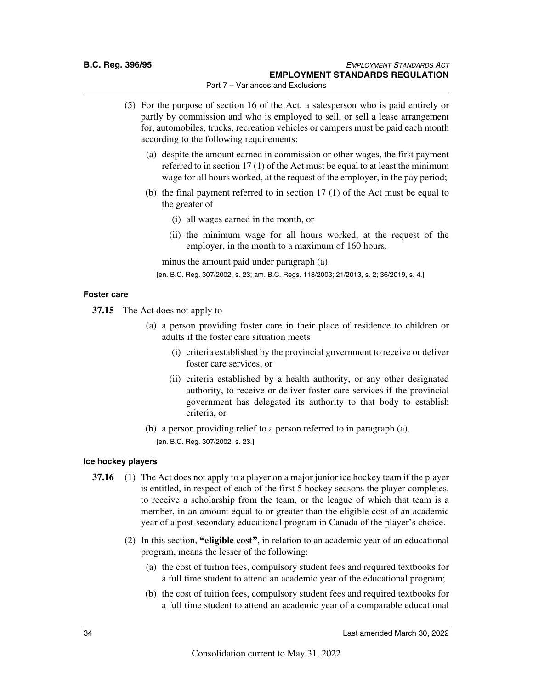- (5) For the purpose of section 16 of the Act, a salesperson who is paid entirely or partly by commission and who is employed to sell, or sell a lease arrangement for, automobiles, trucks, recreation vehicles or campers must be paid each month according to the following requirements:
	- (a) despite the amount earned in commission or other wages, the first payment referred to in section 17 (1) of the Act must be equal to at least the minimum wage for all hours worked, at the request of the employer, in the pay period;
	- (b) the final payment referred to in section 17 (1) of the Act must be equal to the greater of
		- (i) all wages earned in the month, or
		- (ii) the minimum wage for all hours worked, at the request of the employer, in the month to a maximum of 160 hours,

minus the amount paid under paragraph (a).

[en. B.C. Reg. 307/2002, s. 23; am. B.C. Regs. 118/2003; 21/2013, s. 2; 36/2019, s. 4.]

#### **Foster care**

**37.15** The Act does not apply to

- (a) a person providing foster care in their place of residence to children or adults if the foster care situation meets
	- (i) criteria established by the provincial government to receive or deliver foster care services, or
	- (ii) criteria established by a health authority, or any other designated authority, to receive or deliver foster care services if the provincial government has delegated its authority to that body to establish criteria, or
- (b) a person providing relief to a person referred to in paragraph (a). [en. B.C. Reg. 307/2002, s. 23.]

#### **Ice hockey players**

- **37.16** (1) The Act does not apply to a player on a major junior ice hockey team if the player is entitled, in respect of each of the first 5 hockey seasons the player completes, to receive a scholarship from the team, or the league of which that team is a member, in an amount equal to or greater than the eligible cost of an academic year of a post-secondary educational program in Canada of the player's choice.
	- (2) In this section, **"eligible cost"**, in relation to an academic year of an educational program, means the lesser of the following:
		- (a) the cost of tuition fees, compulsory student fees and required textbooks for a full time student to attend an academic year of the educational program;
		- (b) the cost of tuition fees, compulsory student fees and required textbooks for a full time student to attend an academic year of a comparable educational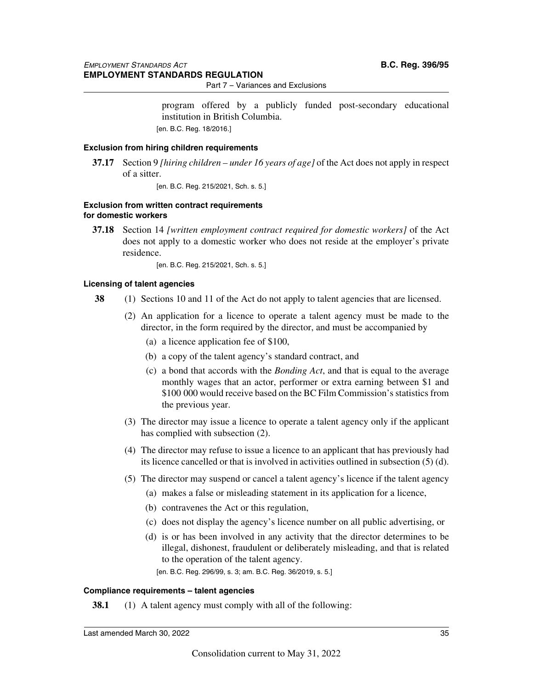program offered by a publicly funded post-secondary educational institution in British Columbia. [en. B.C. Reg. 18/2016.]

#### **Exclusion from hiring children requirements**

**37.17** Section 9 *[hiring children – under 16 years of age]* of the Act does not apply in respect of a sitter.

[en. B.C. Reg. 215/2021, Sch. s. 5.]

#### **Exclusion from written contract requirements for domestic workers**

**37.18** Section 14 *[written employment contract required for domestic workers]* of the Act does not apply to a domestic worker who does not reside at the employer's private residence.

[en. B.C. Reg. 215/2021, Sch. s. 5.]

#### **Licensing of talent agencies**

- **38** (1) Sections 10 and 11 of the Act do not apply to talent agencies that are licensed.
	- (2) An application for a licence to operate a talent agency must be made to the director, in the form required by the director, and must be accompanied by
		- (a) a licence application fee of \$100,
		- (b) a copy of the talent agency's standard contract, and
		- (c) a bond that accords with the *Bonding Act*, and that is equal to the average monthly wages that an actor, performer or extra earning between \$1 and \$100 000 would receive based on the BC Film Commission's statistics from the previous year.
	- (3) The director may issue a licence to operate a talent agency only if the applicant has complied with subsection (2).
	- (4) The director may refuse to issue a licence to an applicant that has previously had its licence cancelled or that is involved in activities outlined in subsection (5) (d).
	- (5) The director may suspend or cancel a talent agency's licence if the talent agency
		- (a) makes a false or misleading statement in its application for a licence,
		- (b) contravenes the Act or this regulation,
		- (c) does not display the agency's licence number on all public advertising, or
		- (d) is or has been involved in any activity that the director determines to be illegal, dishonest, fraudulent or deliberately misleading, and that is related to the operation of the talent agency.
			- [en. B.C. Reg. 296/99, s. 3; am. B.C. Reg. 36/2019, s. 5.]

#### **Compliance requirements – talent agencies**

**38.1** (1) A talent agency must comply with all of the following: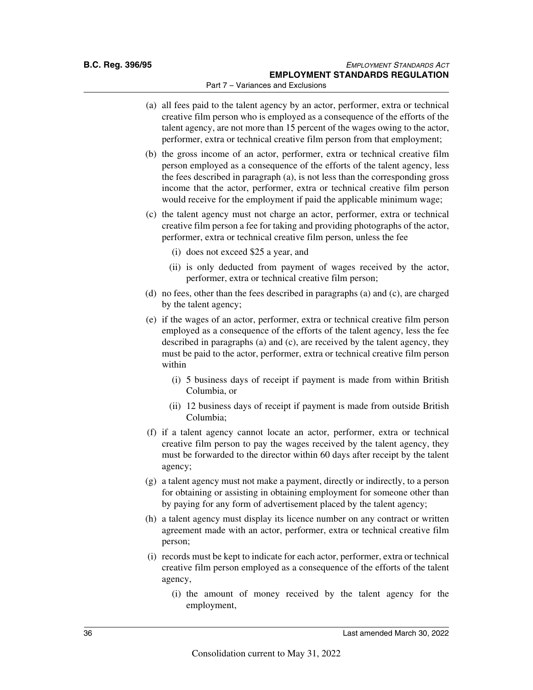- (a) all fees paid to the talent agency by an actor, performer, extra or technical creative film person who is employed as a consequence of the efforts of the talent agency, are not more than 15 percent of the wages owing to the actor, performer, extra or technical creative film person from that employment;
- (b) the gross income of an actor, performer, extra or technical creative film person employed as a consequence of the efforts of the talent agency, less the fees described in paragraph (a), is not less than the corresponding gross income that the actor, performer, extra or technical creative film person would receive for the employment if paid the applicable minimum wage;
- (c) the talent agency must not charge an actor, performer, extra or technical creative film person a fee for taking and providing photographs of the actor, performer, extra or technical creative film person, unless the fee
	- (i) does not exceed \$25 a year, and
	- (ii) is only deducted from payment of wages received by the actor, performer, extra or technical creative film person;
- (d) no fees, other than the fees described in paragraphs (a) and (c), are charged by the talent agency;
- (e) if the wages of an actor, performer, extra or technical creative film person employed as a consequence of the efforts of the talent agency, less the fee described in paragraphs (a) and (c), are received by the talent agency, they must be paid to the actor, performer, extra or technical creative film person within
	- (i) 5 business days of receipt if payment is made from within British Columbia, or
	- (ii) 12 business days of receipt if payment is made from outside British Columbia;
- (f) if a talent agency cannot locate an actor, performer, extra or technical creative film person to pay the wages received by the talent agency, they must be forwarded to the director within 60 days after receipt by the talent agency;
- (g) a talent agency must not make a payment, directly or indirectly, to a person for obtaining or assisting in obtaining employment for someone other than by paying for any form of advertisement placed by the talent agency;
- (h) a talent agency must display its licence number on any contract or written agreement made with an actor, performer, extra or technical creative film person;
- (i) records must be kept to indicate for each actor, performer, extra or technical creative film person employed as a consequence of the efforts of the talent agency,
	- (i) the amount of money received by the talent agency for the employment,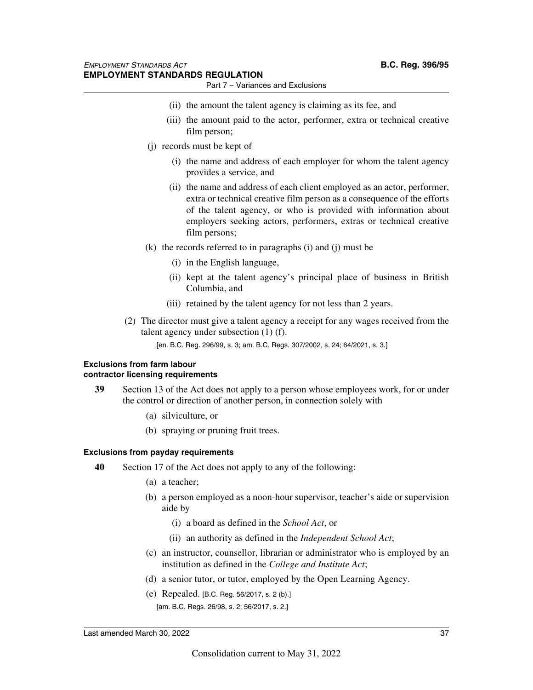- Part 7 Variances and Exclusions
- (ii) the amount the talent agency is claiming as its fee, and
- (iii) the amount paid to the actor, performer, extra or technical creative film person;
- (j) records must be kept of
	- (i) the name and address of each employer for whom the talent agency provides a service, and
	- (ii) the name and address of each client employed as an actor, performer, extra or technical creative film person as a consequence of the efforts of the talent agency, or who is provided with information about employers seeking actors, performers, extras or technical creative film persons;
- (k) the records referred to in paragraphs (i) and (j) must be
	- (i) in the English language,
	- (ii) kept at the talent agency's principal place of business in British Columbia, and
	- (iii) retained by the talent agency for not less than 2 years.
- (2) The director must give a talent agency a receipt for any wages received from the talent agency under subsection (1) (f).

[en. B.C. Reg. 296/99, s. 3; am. B.C. Regs. 307/2002, s. 24; 64/2021, s. 3.]

#### **Exclusions from farm labour contractor licensing requirements**

- **39** Section 13 of the Act does not apply to a person whose employees work, for or under the control or direction of another person, in connection solely with
	- (a) silviculture, or
	- (b) spraying or pruning fruit trees.

#### **Exclusions from payday requirements**

- **40** Section 17 of the Act does not apply to any of the following:
	- (a) a teacher;
	- (b) a person employed as a noon-hour supervisor, teacher's aide or supervision aide by
		- (i) a board as defined in the *School Act*, or
		- (ii) an authority as defined in the *Independent School Act*;
	- (c) an instructor, counsellor, librarian or administrator who is employed by an institution as defined in the *College and Institute Act*;
	- (d) a senior tutor, or tutor, employed by the Open Learning Agency.
	- (e) Repealed. [B.C. Reg. 56/2017, s. 2 (b).] [am. B.C. Regs. 26/98, s. 2; 56/2017, s. 2.]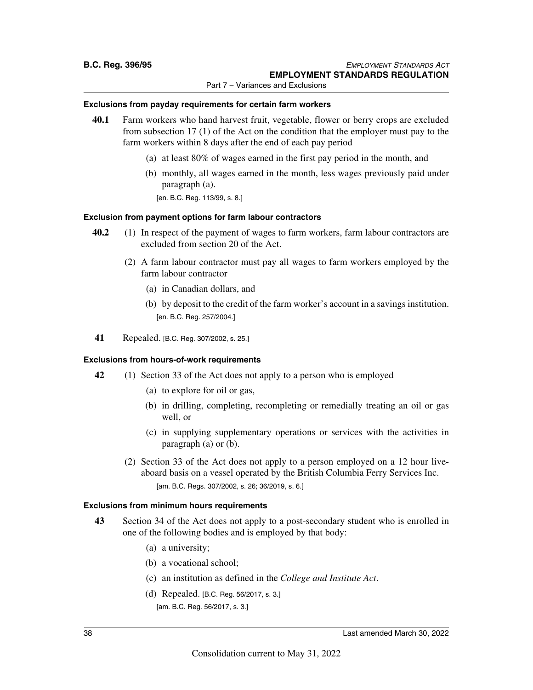#### **Exclusions from payday requirements for certain farm workers**

- **40.1** Farm workers who hand harvest fruit, vegetable, flower or berry crops are excluded from subsection 17 (1) of the Act on the condition that the employer must pay to the farm workers within 8 days after the end of each pay period
	- (a) at least 80% of wages earned in the first pay period in the month, and
	- (b) monthly, all wages earned in the month, less wages previously paid under paragraph (a). [en. B.C. Reg. 113/99, s. 8.]

#### **Exclusion from payment options for farm labour contractors**

- **40.2** (1) In respect of the payment of wages to farm workers, farm labour contractors are excluded from section 20 of the Act.
	- (2) A farm labour contractor must pay all wages to farm workers employed by the farm labour contractor
		- (a) in Canadian dollars, and
		- (b) by deposit to the credit of the farm worker's account in a savings institution. [en. B.C. Reg. 257/2004.]
- **41** Repealed. [B.C. Reg. 307/2002, s. 25.]

#### **Exclusions from hours-of-work requirements**

- **42** (1) Section 33 of the Act does not apply to a person who is employed
	- (a) to explore for oil or gas,
	- (b) in drilling, completing, recompleting or remedially treating an oil or gas well, or
	- (c) in supplying supplementary operations or services with the activities in paragraph (a) or (b).
	- (2) Section 33 of the Act does not apply to a person employed on a 12 hour liveaboard basis on a vessel operated by the British Columbia Ferry Services Inc. [am. B.C. Regs. 307/2002, s. 26; 36/2019, s. 6.]

#### **Exclusions from minimum hours requirements**

- **43** Section 34 of the Act does not apply to a post-secondary student who is enrolled in one of the following bodies and is employed by that body:
	- (a) a university;
	- (b) a vocational school;
	- (c) an institution as defined in the *College and Institute Act*.
	- (d) Repealed. [B.C. Reg. 56/2017, s. 3.] [am. B.C. Reg. 56/2017, s. 3.]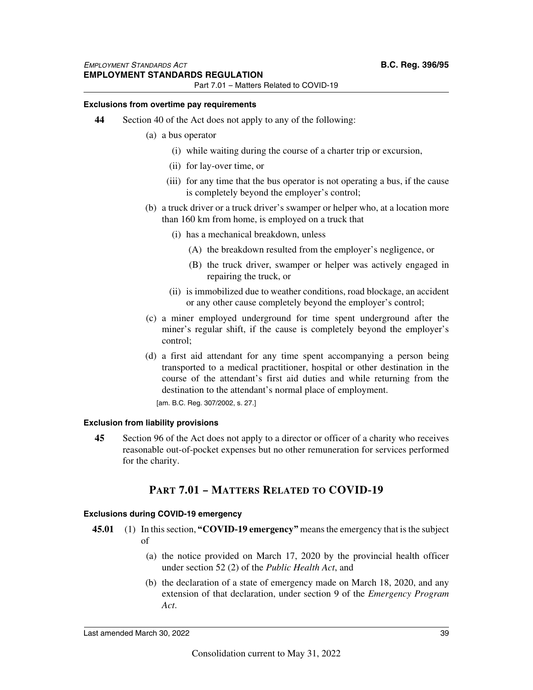#### **Exclusions from overtime pay requirements**

- **44** Section 40 of the Act does not apply to any of the following:
	- (a) a bus operator
		- (i) while waiting during the course of a charter trip or excursion,
		- (ii) for lay-over time, or
		- (iii) for any time that the bus operator is not operating a bus, if the cause is completely beyond the employer's control;
	- (b) a truck driver or a truck driver's swamper or helper who, at a location more than 160 km from home, is employed on a truck that
		- (i) has a mechanical breakdown, unless
			- (A) the breakdown resulted from the employer's negligence, or
			- (B) the truck driver, swamper or helper was actively engaged in repairing the truck, or
		- (ii) is immobilized due to weather conditions, road blockage, an accident or any other cause completely beyond the employer's control;
	- (c) a miner employed underground for time spent underground after the miner's regular shift, if the cause is completely beyond the employer's control;
	- (d) a first aid attendant for any time spent accompanying a person being transported to a medical practitioner, hospital or other destination in the course of the attendant's first aid duties and while returning from the destination to the attendant's normal place of employment.

[am. B.C. Reg. 307/2002, s. 27.]

#### **Exclusion from liability provisions**

**45** Section 96 of the Act does not apply to a director or officer of a charity who receives reasonable out-of-pocket expenses but no other remuneration for services performed for the charity.

## **PART 7.01 – MATTERS RELATED TO COVID-19**

#### **Exclusions during COVID-19 emergency**

- **45.01** (1) In this section, **"COVID-19 emergency"** means the emergency that is the subject of
	- (a) the notice provided on March 17, 2020 by the provincial health officer under section 52 (2) of the *Public Health Act*, and
	- (b) the declaration of a state of emergency made on March 18, 2020, and any extension of that declaration, under section 9 of the *Emergency Program Act*.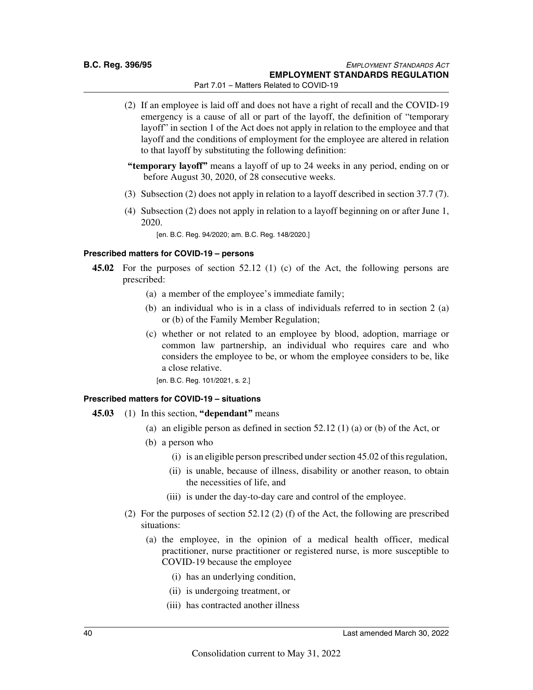- (2) If an employee is laid off and does not have a right of recall and the COVID-19 emergency is a cause of all or part of the layoff, the definition of "temporary layoff" in section 1 of the Act does not apply in relation to the employee and that layoff and the conditions of employment for the employee are altered in relation to that layoff by substituting the following definition:
- **"temporary layoff"** means a layoff of up to 24 weeks in any period, ending on or before August 30, 2020, of 28 consecutive weeks.
- (3) Subsection (2) does not apply in relation to a layoff described in section 37.7 (7).
- (4) Subsection (2) does not apply in relation to a layoff beginning on or after June 1, 2020.

[en. B.C. Reg. 94/2020; am. B.C. Reg. 148/2020.]

#### **Prescribed matters for COVID-19 – persons**

- **45.02** For the purposes of section 52.12 (1) (c) of the Act, the following persons are prescribed:
	- (a) a member of the employee's immediate family;
	- (b) an individual who is in a class of individuals referred to in section 2 (a) or (b) of the Family Member Regulation;
	- (c) whether or not related to an employee by blood, adoption, marriage or common law partnership, an individual who requires care and who considers the employee to be, or whom the employee considers to be, like a close relative.

[en. B.C. Reg. 101/2021, s. 2.]

#### **Prescribed matters for COVID-19 – situations**

#### **45.03** (1) In this section, **"dependant"** means

- (a) an eligible person as defined in section 52.12 (1) (a) or (b) of the Act, or
- (b) a person who
	- (i) is an eligible person prescribed under section 45.02 of this regulation,
	- (ii) is unable, because of illness, disability or another reason, to obtain the necessities of life, and
	- (iii) is under the day-to-day care and control of the employee.
- (2) For the purposes of section 52.12 (2) (f) of the Act, the following are prescribed situations:
	- (a) the employee, in the opinion of a medical health officer, medical practitioner, nurse practitioner or registered nurse, is more susceptible to COVID-19 because the employee
		- (i) has an underlying condition,
		- (ii) is undergoing treatment, or
		- (iii) has contracted another illness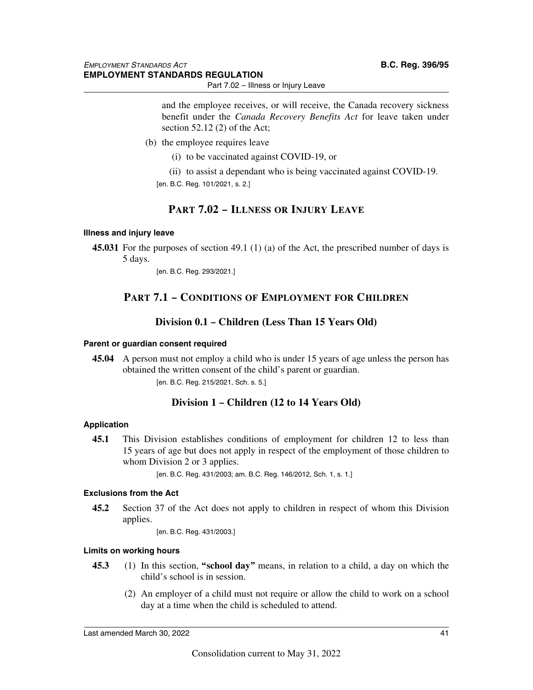Part 7.02 – Illness or Injury Leave

and the employee receives, or will receive, the Canada recovery sickness benefit under the *Canada Recovery Benefits Act* for leave taken under section 52.12 (2) of the Act;

- (b) the employee requires leave
	- (i) to be vaccinated against COVID-19, or
	- (ii) to assist a dependant who is being vaccinated against COVID-19. [en. B.C. Reg. 101/2021, s. 2.]

## **PART 7.02 – ILLNESS OR INJURY LEAVE**

#### **Illness and injury leave**

**45.031** For the purposes of section 49.1 (1) (a) of the Act, the prescribed number of days is 5 days.

[en. B.C. Reg. 293/2021.]

## **PART 7.1 – CONDITIONS OF EMPLOYMENT FOR CHILDREN**

## **Division 0.1 – Children (Less Than 15 Years Old)**

#### **Parent or guardian consent required**

**45.04** A person must not employ a child who is under 15 years of age unless the person has obtained the written consent of the child's parent or guardian. [en. B.C. Reg. 215/2021, Sch. s. 5.]

## **Division 1 – Children (12 to 14 Years Old)**

#### **Application**

**45.1** This Division establishes conditions of employment for children 12 to less than 15 years of age but does not apply in respect of the employment of those children to whom Division 2 or 3 applies.

[en. B.C. Reg. 431/2003; am. B.C. Reg. 146/2012, Sch. 1, s. 1.]

#### **Exclusions from the Act**

**45.2** Section 37 of the Act does not apply to children in respect of whom this Division applies.

[en. B.C. Reg. 431/2003.]

#### **Limits on working hours**

- **45.3** (1) In this section, **"school day"** means, in relation to a child, a day on which the child's school is in session.
	- (2) An employer of a child must not require or allow the child to work on a school day at a time when the child is scheduled to attend.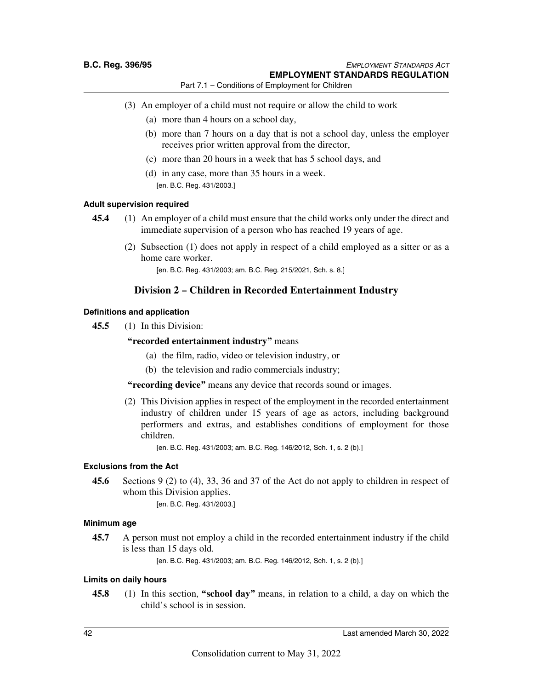- (3) An employer of a child must not require or allow the child to work
	- (a) more than 4 hours on a school day,
	- (b) more than 7 hours on a day that is not a school day, unless the employer receives prior written approval from the director,
	- (c) more than 20 hours in a week that has 5 school days, and
	- (d) in any case, more than 35 hours in a week. [en. B.C. Reg. 431/2003.]

#### **Adult supervision required**

- **45.4** (1) An employer of a child must ensure that the child works only under the direct and immediate supervision of a person who has reached 19 years of age.
	- (2) Subsection (1) does not apply in respect of a child employed as a sitter or as a home care worker.

[en. B.C. Reg. 431/2003; am. B.C. Reg. 215/2021, Sch. s. 8.]

### **Division 2 – Children in Recorded Entertainment Industry**

#### **Definitions and application**

**45.5** (1) In this Division:

#### **"recorded entertainment industry"** means

- (a) the film, radio, video or television industry, or
- (b) the television and radio commercials industry;

#### **"recording device"** means any device that records sound or images.

(2) This Division applies in respect of the employment in the recorded entertainment industry of children under 15 years of age as actors, including background performers and extras, and establishes conditions of employment for those children.

[en. B.C. Reg. 431/2003; am. B.C. Reg. 146/2012, Sch. 1, s. 2 (b).]

#### **Exclusions from the Act**

**45.6** Sections 9 (2) to (4), 33, 36 and 37 of the Act do not apply to children in respect of whom this Division applies.

[en. B.C. Reg. 431/2003.]

#### **Minimum age**

**45.7** A person must not employ a child in the recorded entertainment industry if the child is less than 15 days old.

[en. B.C. Reg. 431/2003; am. B.C. Reg. 146/2012, Sch. 1, s. 2 (b).]

#### **Limits on daily hours**

**45.8** (1) In this section, **"school day"** means, in relation to a child, a day on which the child's school is in session.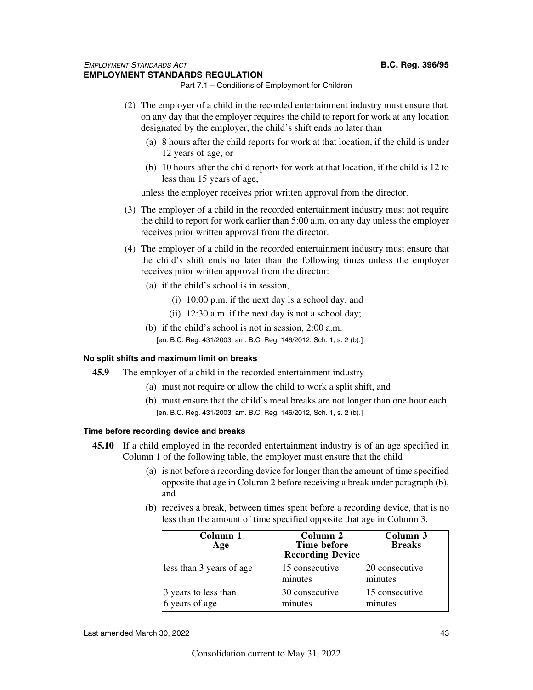- (2) The employer of a child in the recorded entertainment industry must ensure that, on any day that the employer requires the child to report for work at any location designated by the employer, the child's shift ends no later than
	- (a) 8 hours after the child reports for work at that location, if the child is under 12 years of age, or
	- (b) 10 hours after the child reports for work at that location, if the child is 12 to less than 15 years of age,

unless the employer receives prior written approval from the director.

- (3) The employer of a child in the recorded entertainment industry must not require the child to report for work earlier than 5:00 a.m. on any day unless the employer receives prior written approval from the director.
- (4) The employer of a child in the recorded entertainment industry must ensure that the child's shift ends no later than the following times unless the employer receives prior written approval from the director:
	- (a) if the child's school is in session,
		- (i) 10:00 p.m. if the next day is a school day, and
		- (ii) 12:30 a.m. if the next day is not a school day;
	- (b) if the child's school is not in session, 2:00 a.m.

[en. B.C. Reg. 431/2003; am. B.C. Reg. 146/2012, Sch. 1, s. 2 (b).]

#### **No split shifts and maximum limit on breaks**

- **45.9** The employer of a child in the recorded entertainment industry
	- (a) must not require or allow the child to work a split shift, and
	- (b) must ensure that the child's meal breaks are not longer than one hour each. [en. B.C. Reg. 431/2003; am. B.C. Reg. 146/2012, Sch. 1, s. 2 (b).]

#### **Time before recording device and breaks**

- **45.10** If a child employed in the recorded entertainment industry is of an age specified in Column 1 of the following table, the employer must ensure that the child
	- (a) is not before a recording device for longer than the amount of time specified opposite that age in Column 2 before receiving a break under paragraph (b), and
	- (b) receives a break, between times spent before a recording device, that is no less than the amount of time specified opposite that age in Column 3.

| Column 1<br>Age                        | Column 2<br>Time before<br><b>Recording Device</b> | Column 3<br><b>Breaks</b> |
|----------------------------------------|----------------------------------------------------|---------------------------|
| less than 3 years of age               | 15 consecutive<br>minutes                          | 20 consecutive<br>minutes |
| 3 years to less than<br>6 years of age | 30 consecutive<br>minutes                          | 15 consecutive<br>minutes |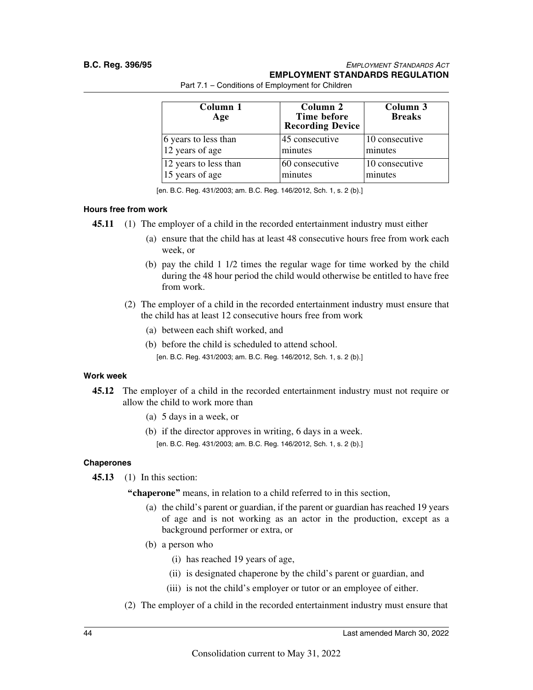#### **B.C. Reg. 396/95** *EMPLOYMENT STANDARDS ACT* **EMPLOYMENT STANDARDS REGULATION**

| Column 1<br>Age       | Column 2<br>Time before<br><b>Recording Device</b> | Column 3<br><b>Breaks</b> |
|-----------------------|----------------------------------------------------|---------------------------|
| 6 years to less than  | 45 consecutive                                     | 10 consecutive            |
| 12 years of age       | minutes                                            | minutes                   |
| 12 years to less than | 60 consecutive                                     | 10 consecutive            |
| 15 years of age       | minutes                                            | minutes                   |

Part 7.1 – Conditions of Employment for Children

[en. B.C. Reg. 431/2003; am. B.C. Reg. 146/2012, Sch. 1, s. 2 (b).]

#### **Hours free from work**

**45.11** (1) The employer of a child in the recorded entertainment industry must either

- (a) ensure that the child has at least 48 consecutive hours free from work each week, or
- (b) pay the child 1 1/2 times the regular wage for time worked by the child during the 48 hour period the child would otherwise be entitled to have free from work.
- (2) The employer of a child in the recorded entertainment industry must ensure that the child has at least 12 consecutive hours free from work
	- (a) between each shift worked, and
	- (b) before the child is scheduled to attend school. [en. B.C. Reg. 431/2003; am. B.C. Reg. 146/2012, Sch. 1, s. 2 (b).]

#### **Work week**

- **45.12** The employer of a child in the recorded entertainment industry must not require or allow the child to work more than
	- (a) 5 days in a week, or
	- (b) if the director approves in writing, 6 days in a week. [en. B.C. Reg. 431/2003; am. B.C. Reg. 146/2012, Sch. 1, s. 2 (b).]

#### **Chaperones**

**45.13** (1) In this section:

**"chaperone"** means, in relation to a child referred to in this section,

- (a) the child's parent or guardian, if the parent or guardian has reached 19 years of age and is not working as an actor in the production, except as a background performer or extra, or
- (b) a person who
	- (i) has reached 19 years of age,
	- (ii) is designated chaperone by the child's parent or guardian, and
	- (iii) is not the child's employer or tutor or an employee of either.
- (2) The employer of a child in the recorded entertainment industry must ensure that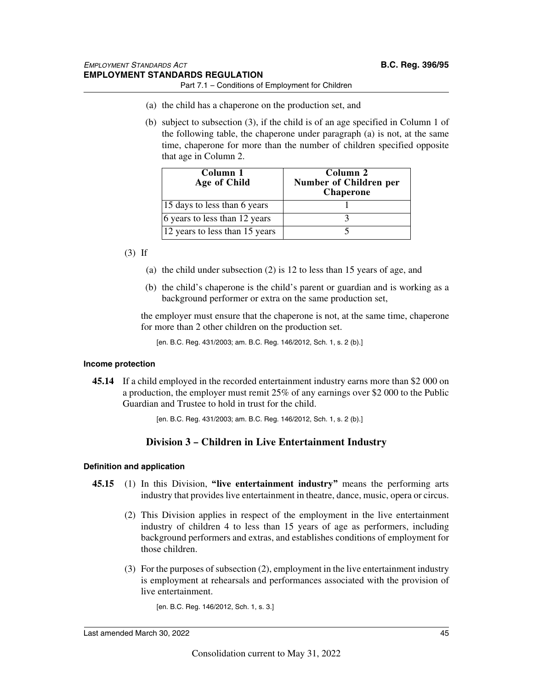- Part 7.1 Conditions of Employment for Children
- (a) the child has a chaperone on the production set, and
- (b) subject to subsection (3), if the child is of an age specified in Column 1 of the following table, the chaperone under paragraph (a) is not, at the same time, chaperone for more than the number of children specified opposite that age in Column 2.

| Column 1<br>Age of Child       | Column 2<br>Number of Children per<br><b>Chaperone</b> |
|--------------------------------|--------------------------------------------------------|
| 15 days to less than 6 years   |                                                        |
| 6 years to less than 12 years  |                                                        |
| 12 years to less than 15 years |                                                        |

#### (3) If

- (a) the child under subsection (2) is 12 to less than 15 years of age, and
- (b) the child's chaperone is the child's parent or guardian and is working as a background performer or extra on the same production set,

the employer must ensure that the chaperone is not, at the same time, chaperone for more than 2 other children on the production set.

```
[en. B.C. Reg. 431/2003; am. B.C. Reg. 146/2012, Sch. 1, s. 2 (b).]
```
#### **Income protection**

**45.14** If a child employed in the recorded entertainment industry earns more than \$2 000 on a production, the employer must remit 25% of any earnings over \$2 000 to the Public Guardian and Trustee to hold in trust for the child.

[en. B.C. Reg. 431/2003; am. B.C. Reg. 146/2012, Sch. 1, s. 2 (b).]

## **Division 3 – Children in Live Entertainment Industry**

#### **Definition and application**

- **45.15** (1) In this Division, **"live entertainment industry"** means the performing arts industry that provides live entertainment in theatre, dance, music, opera or circus.
	- (2) This Division applies in respect of the employment in the live entertainment industry of children 4 to less than 15 years of age as performers, including background performers and extras, and establishes conditions of employment for those children.
	- (3) For the purposes of subsection (2), employment in the live entertainment industry is employment at rehearsals and performances associated with the provision of live entertainment.

[en. B.C. Reg. 146/2012, Sch. 1, s. 3.]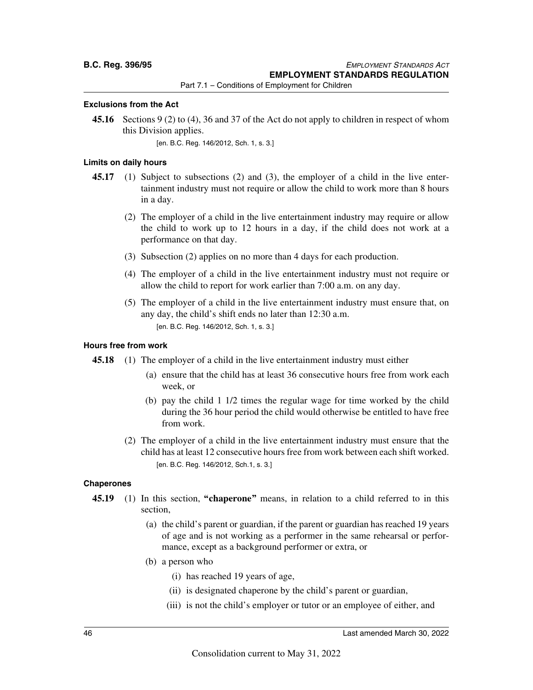#### **Exclusions from the Act**

**45.16** Sections 9 (2) to (4), 36 and 37 of the Act do not apply to children in respect of whom this Division applies.

[en. B.C. Reg. 146/2012, Sch. 1, s. 3.]

#### **Limits on daily hours**

- **45.17** (1) Subject to subsections (2) and (3), the employer of a child in the live entertainment industry must not require or allow the child to work more than 8 hours in a day.
	- (2) The employer of a child in the live entertainment industry may require or allow the child to work up to 12 hours in a day, if the child does not work at a performance on that day.
	- (3) Subsection (2) applies on no more than 4 days for each production.
	- (4) The employer of a child in the live entertainment industry must not require or allow the child to report for work earlier than 7:00 a.m. on any day.
	- (5) The employer of a child in the live entertainment industry must ensure that, on any day, the child's shift ends no later than 12:30 a.m. [en. B.C. Reg. 146/2012, Sch. 1, s. 3.]

#### **Hours free from work**

**45.18** (1) The employer of a child in the live entertainment industry must either

- (a) ensure that the child has at least 36 consecutive hours free from work each week, or
- (b) pay the child 1 1/2 times the regular wage for time worked by the child during the 36 hour period the child would otherwise be entitled to have free from work.
- (2) The employer of a child in the live entertainment industry must ensure that the child has at least 12 consecutive hours free from work between each shift worked. [en. B.C. Reg. 146/2012, Sch.1, s. 3.]

#### **Chaperones**

- **45.19** (1) In this section, **"chaperone"** means, in relation to a child referred to in this section,
	- (a) the child's parent or guardian, if the parent or guardian has reached 19 years of age and is not working as a performer in the same rehearsal or performance, except as a background performer or extra, or
	- (b) a person who
		- (i) has reached 19 years of age,
		- (ii) is designated chaperone by the child's parent or guardian,
		- (iii) is not the child's employer or tutor or an employee of either, and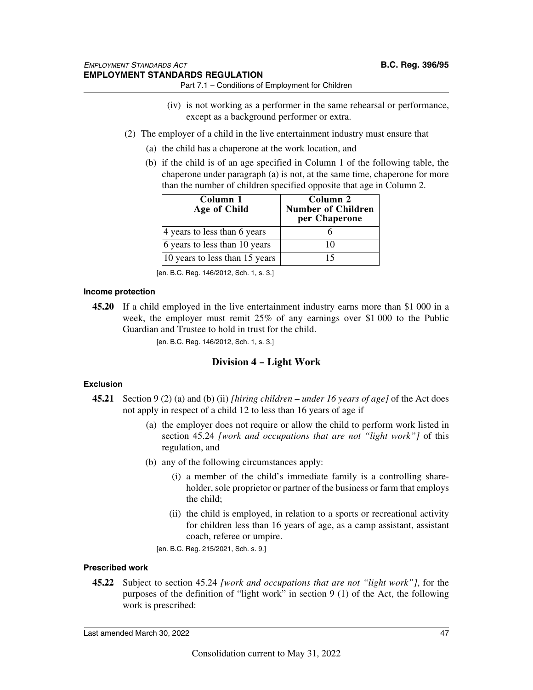- (iv) is not working as a performer in the same rehearsal or performance, except as a background performer or extra.
- (2) The employer of a child in the live entertainment industry must ensure that
	- (a) the child has a chaperone at the work location, and
	- (b) if the child is of an age specified in Column 1 of the following table, the chaperone under paragraph (a) is not, at the same time, chaperone for more than the number of children specified opposite that age in Column 2.

| Column 1<br>Age of Child       | Column 2<br><b>Number of Children</b><br>per Chaperone |
|--------------------------------|--------------------------------------------------------|
| 4 years to less than 6 years   |                                                        |
| 6 years to less than 10 years  | 10                                                     |
| 10 years to less than 15 years | 15                                                     |

[en. B.C. Reg. 146/2012, Sch. 1, s. 3.]

#### **Income protection**

**45.20** If a child employed in the live entertainment industry earns more than \$1 000 in a week, the employer must remit 25% of any earnings over \$1 000 to the Public Guardian and Trustee to hold in trust for the child.

[en. B.C. Reg. 146/2012, Sch. 1, s. 3.]

## **Division 4 – Light Work**

#### **Exclusion**

- **45.21** Section 9 (2) (a) and (b) (ii) *[hiring children under 16 years of age]* of the Act does not apply in respect of a child 12 to less than 16 years of age if
	- (a) the employer does not require or allow the child to perform work listed in section 45.24 *[work and occupations that are not "light work"]* of this regulation, and
	- (b) any of the following circumstances apply:
		- (i) a member of the child's immediate family is a controlling shareholder, sole proprietor or partner of the business or farm that employs the child;
		- (ii) the child is employed, in relation to a sports or recreational activity for children less than 16 years of age, as a camp assistant, assistant coach, referee or umpire.
		- [en. B.C. Reg. 215/2021, Sch. s. 9.]

#### **Prescribed work**

**45.22** Subject to section 45.24 *[work and occupations that are not "light work"]*, for the purposes of the definition of "light work" in section 9 (1) of the Act, the following work is prescribed: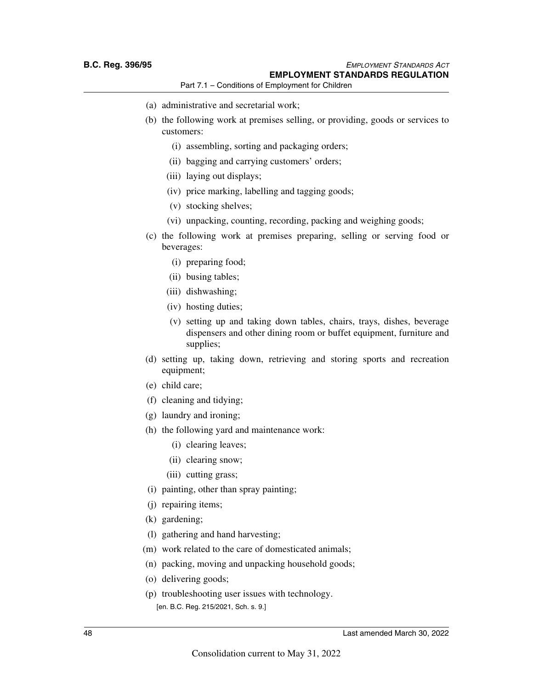- (a) administrative and secretarial work;
- (b) the following work at premises selling, or providing, goods or services to customers:
	- (i) assembling, sorting and packaging orders;
	- (ii) bagging and carrying customers' orders;
	- (iii) laying out displays;
	- (iv) price marking, labelling and tagging goods;
	- (v) stocking shelves;
	- (vi) unpacking, counting, recording, packing and weighing goods;
- (c) the following work at premises preparing, selling or serving food or beverages:
	- (i) preparing food;
	- (ii) busing tables;
	- (iii) dishwashing;
	- (iv) hosting duties;
	- (v) setting up and taking down tables, chairs, trays, dishes, beverage dispensers and other dining room or buffet equipment, furniture and supplies;
- (d) setting up, taking down, retrieving and storing sports and recreation equipment;
- (e) child care;
- (f) cleaning and tidying;
- (g) laundry and ironing;
- (h) the following yard and maintenance work:
	- (i) clearing leaves;
	- (ii) clearing snow;
	- (iii) cutting grass;
- (i) painting, other than spray painting;
- (j) repairing items;
- (k) gardening;
- (l) gathering and hand harvesting;
- (m) work related to the care of domesticated animals;
- (n) packing, moving and unpacking household goods;
- (o) delivering goods;
- (p) troubleshooting user issues with technology. [en. B.C. Reg. 215/2021, Sch. s. 9.]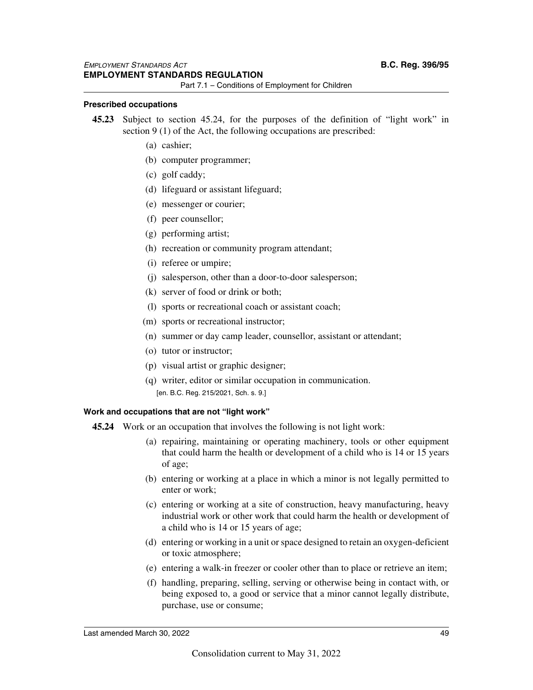#### **Prescribed occupations**

- **45.23** Subject to section 45.24, for the purposes of the definition of "light work" in section 9 (1) of the Act, the following occupations are prescribed:
	- (a) cashier;
	- (b) computer programmer;
	- (c) golf caddy;
	- (d) lifeguard or assistant lifeguard;
	- (e) messenger or courier;
	- (f) peer counsellor;
	- (g) performing artist;
	- (h) recreation or community program attendant;
	- (i) referee or umpire;
	- (j) salesperson, other than a door-to-door salesperson;
	- (k) server of food or drink or both;
	- (l) sports or recreational coach or assistant coach;
	- (m) sports or recreational instructor;
	- (n) summer or day camp leader, counsellor, assistant or attendant;
	- (o) tutor or instructor;
	- (p) visual artist or graphic designer;
	- (q) writer, editor or similar occupation in communication. [en. B.C. Reg. 215/2021, Sch. s. 9.]

#### **Work and occupations that are not "light work"**

- **45.24** Work or an occupation that involves the following is not light work:
	- (a) repairing, maintaining or operating machinery, tools or other equipment that could harm the health or development of a child who is 14 or 15 years of age;
	- (b) entering or working at a place in which a minor is not legally permitted to enter or work;
	- (c) entering or working at a site of construction, heavy manufacturing, heavy industrial work or other work that could harm the health or development of a child who is 14 or 15 years of age;
	- (d) entering or working in a unit or space designed to retain an oxygen-deficient or toxic atmosphere;
	- (e) entering a walk-in freezer or cooler other than to place or retrieve an item;
	- (f) handling, preparing, selling, serving or otherwise being in contact with, or being exposed to, a good or service that a minor cannot legally distribute, purchase, use or consume;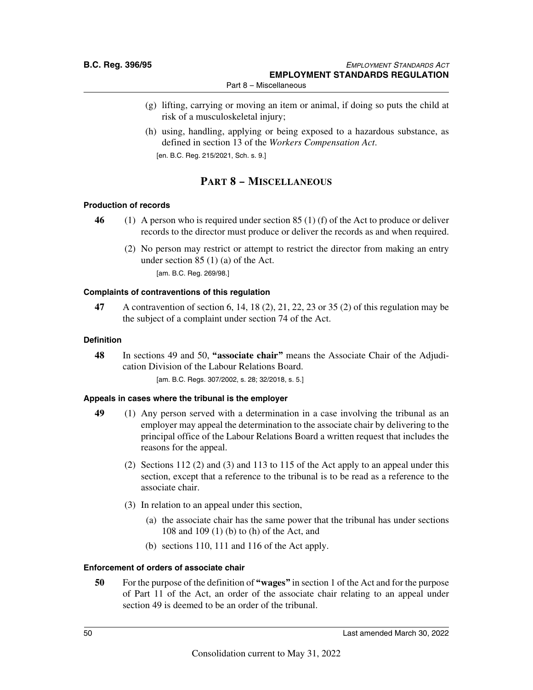- (g) lifting, carrying or moving an item or animal, if doing so puts the child at risk of a musculoskeletal injury;
- (h) using, handling, applying or being exposed to a hazardous substance, as defined in section 13 of the *Workers Compensation Act*.

[en. B.C. Reg. 215/2021, Sch. s. 9.]

## **PART 8 – MISCELLANEOUS**

#### **Production of records**

- **46** (1) A person who is required under section 85 (1) (f) of the Act to produce or deliver records to the director must produce or deliver the records as and when required.
	- (2) No person may restrict or attempt to restrict the director from making an entry under section 85 (1) (a) of the Act. [am. B.C. Reg. 269/98.]

#### **Complaints of contraventions of this regulation**

**47** A contravention of section 6, 14, 18 (2), 21, 22, 23 or 35 (2) of this regulation may be the subject of a complaint under section 74 of the Act.

#### **Definition**

**48** In sections 49 and 50, **"associate chair"** means the Associate Chair of the Adjudication Division of the Labour Relations Board. [am. B.C. Regs. 307/2002, s. 28; 32/2018, s. 5.]

#### **Appeals in cases where the tribunal is the employer**

- **49** (1) Any person served with a determination in a case involving the tribunal as an employer may appeal the determination to the associate chair by delivering to the principal office of the Labour Relations Board a written request that includes the reasons for the appeal.
	- (2) Sections 112 (2) and (3) and 113 to 115 of the Act apply to an appeal under this section, except that a reference to the tribunal is to be read as a reference to the associate chair.
	- (3) In relation to an appeal under this section,
		- (a) the associate chair has the same power that the tribunal has under sections 108 and 109 (1) (b) to (h) of the Act, and
		- (b) sections 110, 111 and 116 of the Act apply.

#### **Enforcement of orders of associate chair**

**50** For the purpose of the definition of **"wages"** in section 1 of the Act and for the purpose of Part 11 of the Act, an order of the associate chair relating to an appeal under section 49 is deemed to be an order of the tribunal.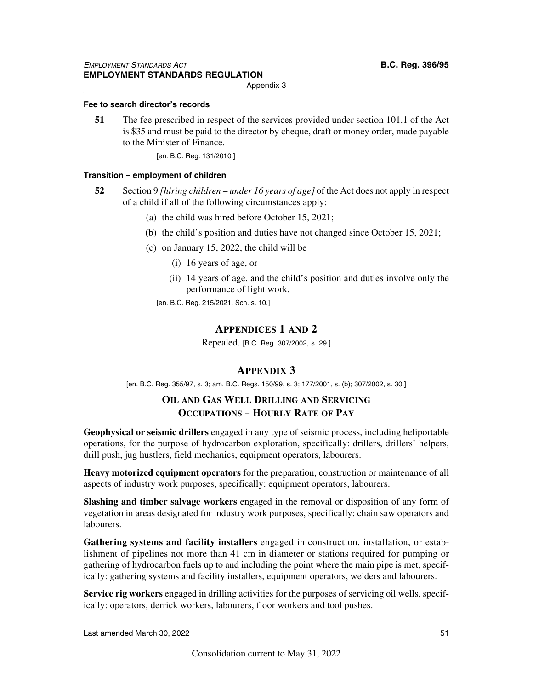Appendix 3

#### **Fee to search director's records**

**51** The fee prescribed in respect of the services provided under section 101.1 of the Act is \$35 and must be paid to the director by cheque, draft or money order, made payable to the Minister of Finance.

[en. B.C. Reg. 131/2010.]

#### **Transition – employment of children**

- **52** Section 9 *[hiring children under 16 years of age]* of the Act does not apply in respect of a child if all of the following circumstances apply:
	- (a) the child was hired before October 15, 2021;
	- (b) the child's position and duties have not changed since October 15, 2021;
	- (c) on January 15, 2022, the child will be
		- (i) 16 years of age, or
		- (ii) 14 years of age, and the child's position and duties involve only the performance of light work.
		- [en. B.C. Reg. 215/2021, Sch. s. 10.]

## **APPENDICES 1 AND 2**

Repealed. [B.C. Reg. 307/2002, s. 29.]

## **APPENDIX 3**

[en. B.C. Reg. 355/97, s. 3; am. B.C. Regs. 150/99, s. 3; 177/2001, s. (b); 307/2002, s. 30.]

## **OIL AND GAS WELL DRILLING AND SERVICING OCCUPATIONS – HOURLY RATE OF PAY**

**Geophysical or seismic drillers** engaged in any type of seismic process, including heliportable operations, for the purpose of hydrocarbon exploration, specifically: drillers, drillers' helpers, drill push, jug hustlers, field mechanics, equipment operators, labourers.

**Heavy motorized equipment operators** for the preparation, construction or maintenance of all aspects of industry work purposes, specifically: equipment operators, labourers.

**Slashing and timber salvage workers** engaged in the removal or disposition of any form of vegetation in areas designated for industry work purposes, specifically: chain saw operators and labourers.

**Gathering systems and facility installers** engaged in construction, installation, or establishment of pipelines not more than 41 cm in diameter or stations required for pumping or gathering of hydrocarbon fuels up to and including the point where the main pipe is met, specifically: gathering systems and facility installers, equipment operators, welders and labourers.

**Service rig workers** engaged in drilling activities for the purposes of servicing oil wells, specifically: operators, derrick workers, labourers, floor workers and tool pushes.